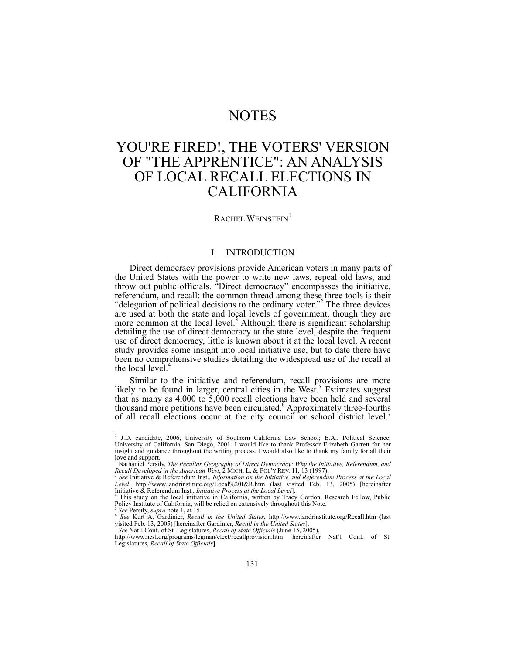## NOTES

# YOU'RE FIRED!, THE VOTERS' VERSION OF "THE APPRENTICE": AN ANALYSIS OF LOCAL RECALL ELECTIONS IN CALIFORNIA

## RACHEL WEINSTEIN<sup>1</sup>

#### I. INTRODUCTION

Direct democracy provisions provide American voters in many parts of the United States with the power to write new laws, repeal old laws, and throw out public officials. "Direct democracy" encompasses the initiative, referendum, and recall: the common thread among these three tools is their "delegation of political decisions to the ordinary voter."<sup>2</sup> The three devices are used at both the state and local levels of government, though they are more common at the local level.<sup>3</sup> Although there is significant scholarship detailing the use of direct democracy at the state level, despite the frequent use of direct democracy, little is known about it at the local level. A recent study provides some insight into local initiative use, but to date there have been no comprehensive studies detailing the widespread use of the recall at the local level. $4$ 

Similar to the initiative and referendum, recall provisions are more likely to be found in larger, central cities in the West.<sup>5</sup> Estimates suggest that as many as 4,000 to 5,000 recall elections have been held and several thousand more petitions have been circulated.<sup>6</sup> Approximately three-fourths of all recall elections occur at the city council or school district level.7

 1 J.D. candidate, 2006, University of Southern California Law School; B.A., Political Science, University of California, San Diego, 2001. I would like to thank Professor Elizabeth Garrett for her insight and guidance throughout the writing process. I would also like to thank my family for all their

love and support.<br><sup>2</sup> Nathaniel Persily, *The Peculiar Geography of Direct Democracy: Why the Initiative, Referendum, and Recall Developed in the American West, 2 MICH. L. & POL'Y REV. 11, 13 (1997).<br><i>Recall Developed in t* 

*Level*, http://www.iandrinstitute.org/Local%20I&R.htm (last visited Feb. 13, 2005) [hereinafter Initiative & Referendum Inst., *Initiative Process at the Local Level*]. 4

<sup>&</sup>lt;sup>4</sup> This study on the local initiative in California, written by Tracy Gordon, Research Fellow, Public Policy Institute of California, will be relied on extensively throughout this Note.

s See Persily, supra note 1, at 15.<br>
See Persily, supra note 1, at 15.<br>
See Persily, supra note 1, at 15.<br>
See Kurt A. Gardinier, *Recall in the United States*, http://www.iandrinstitute.org/Recall.htm (last<br>
visited Feb. visited Feb. 13, 2005) [hereinafter Gardinier, *Recall in the United States*].<br><sup>7</sup> See Nat'l Conf. of St. Legislatures, *Recall of State Officials* (June 15, 2005),<br>http://www.ncsl.org/programs/legman/elect/recallprovision

Legislatures, *Recall of State Officials*].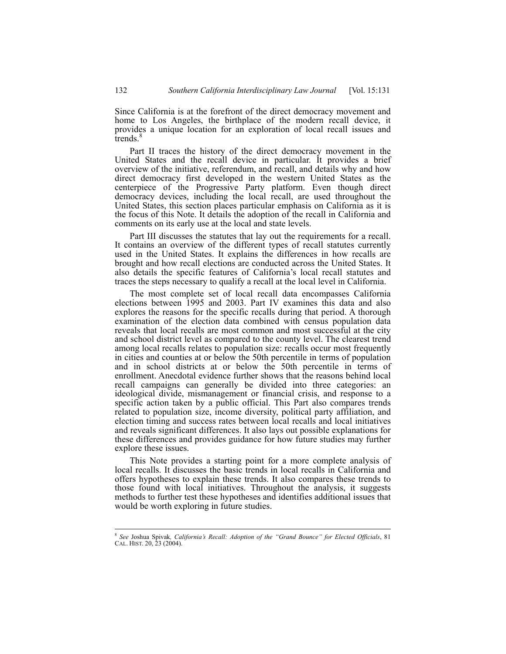Since California is at the forefront of the direct democracy movement and home to Los Angeles, the birthplace of the modern recall device, it provides a unique location for an exploration of local recall issues and trends. $\frac{8}{3}$ 

Part II traces the history of the direct democracy movement in the United States and the recall device in particular. It provides a brief overview of the initiative, referendum, and recall, and details why and how direct democracy first developed in the western United States as the centerpiece of the Progressive Party platform. Even though direct democracy devices, including the local recall, are used throughout the United States, this section places particular emphasis on California as it is the focus of this Note. It details the adoption of the recall in California and comments on its early use at the local and state levels.

Part III discusses the statutes that lay out the requirements for a recall. It contains an overview of the different types of recall statutes currently used in the United States. It explains the differences in how recalls are brought and how recall elections are conducted across the United States. It also details the specific features of California's local recall statutes and traces the steps necessary to qualify a recall at the local level in California.

The most complete set of local recall data encompasses California elections between 1995 and 2003. Part IV examines this data and also explores the reasons for the specific recalls during that period. A thorough examination of the election data combined with census population data reveals that local recalls are most common and most successful at the city and school district level as compared to the county level. The clearest trend among local recalls relates to population size: recalls occur most frequently in cities and counties at or below the 50th percentile in terms of population and in school districts at or below the 50th percentile in terms of enrollment. Anecdotal evidence further shows that the reasons behind local recall campaigns can generally be divided into three categories: an ideological divide, mismanagement or financial crisis, and response to a specific action taken by a public official. This Part also compares trends related to population size, income diversity, political party affiliation, and election timing and success rates between local recalls and local initiatives and reveals significant differences. It also lays out possible explanations for these differences and provides guidance for how future studies may further explore these issues.

This Note provides a starting point for a more complete analysis of local recalls. It discusses the basic trends in local recalls in California and offers hypotheses to explain these trends. It also compares these trends to those found with local initiatives. Throughout the analysis, it suggests methods to further test these hypotheses and identifies additional issues that would be worth exploring in future studies.

<sup>8</sup> *See* Joshua Spivak*, California's Recall: Adoption of the "Grand Bounce" for Elected Officials*, 81 CAL. HIST. 20, 23 (2004).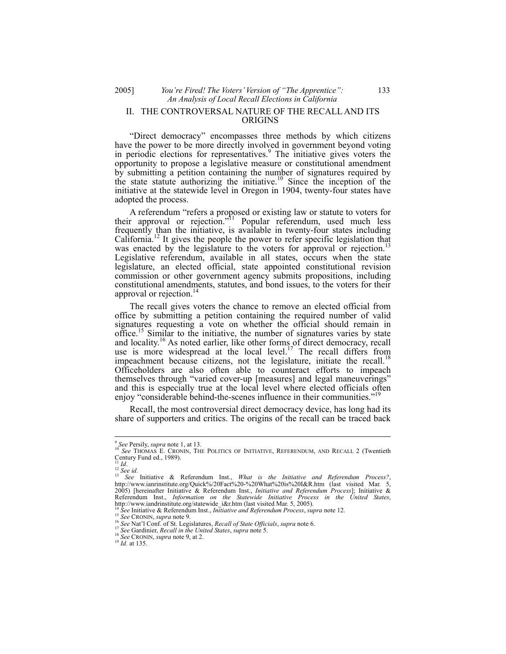## 2005] *You're Fired! The Voters' Version of "The Apprentice":* 133 *An Analysis of Local Recall Elections in California*  II. THE CONTROVERSAL NATURE OF THE RECALL AND ITS ORIGINS

"Direct democracy" encompasses three methods by which citizens have the power to be more directly involved in government beyond voting in periodic elections for representatives.<sup>9</sup> The initiative gives voters the opportunity to propose a legislative measure or constitutional amendment by submitting a petition containing the number of signatures required by the state statute authorizing the initiative.<sup>10</sup> Since the inception of the initiative at the statewide level in Oregon in 1904, twenty-four states have adopted the process.

A referendum "refers a proposed or existing law or statute to voters for their approval or rejection."<sup>11</sup> Popular referendum, used much less frequently than the initiative, is available in twenty-four states including California.12 It gives the people the power to refer specific legislation that was enacted by the legislature to the voters for approval or rejection.<sup>13</sup> Legislative referendum, available in all states, occurs when the state legislature, an elected official, state appointed constitutional revision commission or other government agency submits propositions, including constitutional amendments, statutes, and bond issues, to the voters for their approval or rejection.<sup>14</sup>

The recall gives voters the chance to remove an elected official from office by submitting a petition containing the required number of valid signatures requesting a vote on whether the official should remain in office.15 Similar to the initiative, the number of signatures varies by state and locality.<sup>16</sup> As noted earlier, like other forms of direct democracy, recall use is more widespread at the local level.<sup>17</sup> The recall differs from impeachment because citizens, not the legislature, initiate the recall.<sup>18</sup> Officeholders are also often able to counteract efforts to impeach themselves through "varied cover-up [measures] and legal maneuverings" and this is especially true at the local level where elected officials often enjoy "considerable behind-the-scenes influence in their communities."<sup>19</sup>

Recall, the most controversial direct democracy device, has long had its share of supporters and critics. The origins of the recall can be traced back

 $\overline{\phantom{a}}$ 

<sup>&</sup>lt;sup>9</sup> See Persily, *supra* note 1, at 13.<br><sup>10</sup> See Thomas E. Cronin, The Politics of Initiative, Referendum, and Recall 2 (Twentieth Century Fund ed., 1989).

<sup>&</sup>lt;sup>11</sup> *Id.* <sup>12</sup> *See id.*<br><sup>12</sup> *See id.* 13 *See Initiative & Referendum Inst., What is the Initiative and Referendum Process?*, http://www.ianrinstitute.org/Quick%/20Fact%20-%20What%20is%20I&R.htm (last visited Mar. 5, 2005) [hereinafter Initiative & Referendum Inst., *Initiative and Referendum Process*]; Initiative & Referendum Inst., *Information on the Statewide Initiative Process in the United States*, http://www.iandrinstitute.org/statewide\_i&r.htm (last visited Mar. 5, 2005).

<sup>&</sup>lt;sup>14</sup> See Initiative & Referendum Inst., *Initiative and Referendum Process*, *supra* note 12.<br><sup>15</sup> See CRONIN, *supra* note 9.<br><sup>16</sup> See Nat'l Conf. of St. Legislatures, *Recall of State Officials*, *supra* note 6.<br><sup>17</sup> Se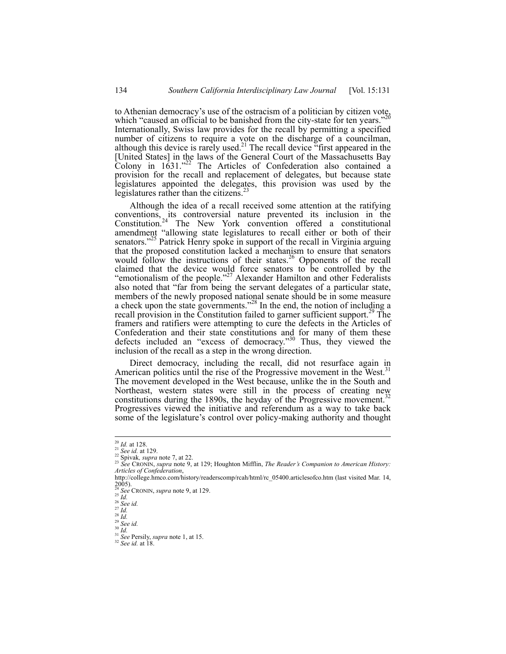to Athenian democracy's use of the ostracism of a politician by citizen vote, which "caused an official to be banished from the city-state for ten years."<sup>20</sup> Internationally, Swiss law provides for the recall by permitting a specified number of citizens to require a vote on the discharge of a councilman, although this device is rarely used.<sup>21</sup> The recall device "first appeared in the [United States] in the laws of the General Court of the Massachusetts Bay Colony in  $1631.^{22}$  The Articles of Confederation also contained a provision for the recall and replacement of delegates, but because state legislatures appointed the delegates, this provision was used by the legislatures rather than the citizens.<sup>2</sup>

Although the idea of a recall received some attention at the ratifying conventions, its controversial nature prevented its inclusion in the Constitution.<sup>24</sup> The New York convention offered a constitutional amendment "allowing state legislatures to recall either or both of their senators."<sup>25</sup> Patrick Henry spoke in support of the recall in Virginia arguing that the proposed constitution lacked a mechanism to ensure that senators would follow the instructions of their states.<sup>26</sup> Opponents of the recall claimed that the device would force senators to be controlled by the "emotionalism of the people."<sup>27</sup> Alexander Hamilton and other Federalists also noted that "far from being the servant delegates of a particular state, members of the newly proposed national senate should be in some measure a check upon the state governments."<sup>28</sup> In the end, the notion of including a recall provision in the Constitution failed to garner sufficient support.<sup>29</sup> The framers and ratifiers were attempting to cure the defects in the Articles of Confederation and their state constitutions and for many of them these defects included an "excess of democracy."30 Thus, they viewed the inclusion of the recall as a step in the wrong direction.

Direct democracy, including the recall, did not resurface again in American politics until the rise of the Progressive movement in the West.<sup>31</sup> The movement developed in the West because, unlike the in the South and Northeast, western states were still in the process of creating new constitutions during the 1890s, the heyday of the Progressive movement.<sup>32</sup> Progressives viewed the initiative and referendum as a way to take back some of the legislature's control over policy-making authority and thought

 $^{20}$  *Id.* at 128.

<sup>&</sup>lt;sup>21</sup> *Id. at 129.*<br><sup>21</sup> *See id.* at 129.<br><sup>22</sup> Spivak, *supra* note 7, at 22. 23 *See CRONIN, supra* note 9, at 129; Houghton Mifflin, *The Reader's Companion to American History: Articles of Confederation*,

http://college.hmco.com/history/readerscomp/rcah/html/rc\_05400.articlesofco.htm (last visited Mar. 14,  $\frac{2005}{24}$ . <sup>24</sup> *See* CRONIN, *supra* note 9, at 129.<br>
<sup>25</sup> *Id.*<br>
<sup>25</sup> *Id.*<br>
<sup>27</sup> *Id.*<br>
<sup>29</sup> *See id.*<br>
<sup>30</sup> *See id.*<br>
<sup>31</sup> *See Persily, <i>supra* note 1, at 15.<br>
<sup>32</sup> *See id.* at 18.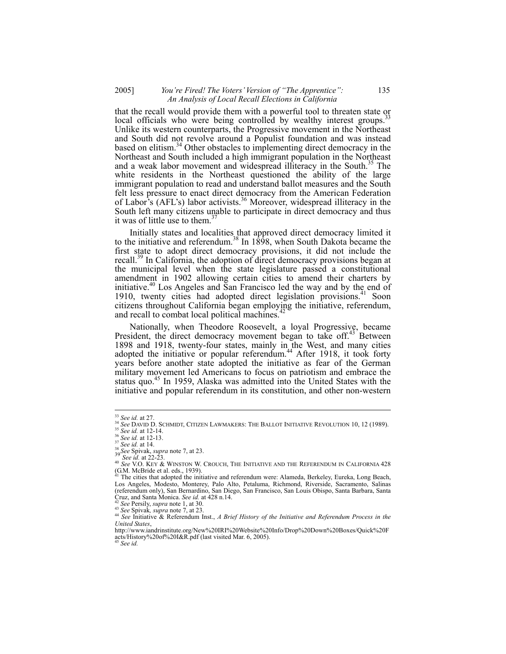## 2005] *You're Fired! The Voters' Version of "The Apprentice":* 135 *An Analysis of Local Recall Elections in California*

that the recall would provide them with a powerful tool to threaten state or local officials who were being controlled by wealthy interest groups.<sup>33</sup> Unlike its western counterparts, the Progressive movement in the Northeast and South did not revolve around a Populist foundation and was instead based on elitism.<sup>34</sup> Other obstacles to implementing direct democracy in the Northeast and South included a high immigrant population in the Northeast and a weak labor movement and widespread illiteracy in the South.<sup>35</sup> The white residents in the Northeast questioned the ability of the large immigrant population to read and understand ballot measures and the South felt less pressure to enact direct democracy from the American Federation of Labor's (AFL's) labor activists.<sup>36</sup> Moreover, widespread illiteracy in the South left many citizens unable to participate in direct democracy and thus it was of little use to them.<sup>3</sup>

Initially states and localities that approved direct democracy limited it to the initiative and referendum.<sup>38</sup> In  $1898$ , when South Dakota became the first state to adopt direct democracy provisions, it did not include the recall.<sup>39</sup> In California, the adoption of direct democracy provisions began at the municipal level when the state legislature passed a constitutional amendment in 1902 allowing certain cities to amend their charters by initiative.<sup>40</sup> Los Angeles and San Francisco led the way and by the end of 1910, twenty cities had adopted direct legislation provisions.<sup>41</sup> Soon citizens throughout California began employing the initiative, referendum, and recall to combat local political machines.

Nationally, when Theodore Roosevelt, a loyal Progressive, became President, the direct democracy movement began to take off.<sup>43</sup> Between 1898 and 1918, twenty-four states, mainly in the West, and many cities adopted the initiative or popular referendum.<sup>44</sup> After 1918, it took forty years before another state adopted the initiative as fear of the German military movement led Americans to focus on patriotism and embrace the status quo.<sup>45</sup> In 1959, Alaska was admitted into the United States with the initiative and popular referendum in its constitution, and other non-western

 $33$  See id. at 27.

<sup>&</sup>lt;sup>34</sup> See DAVID D. SCHMIDT, CITIZEN LAWMAKERS: THE BALLOT INITIATIVE REVOLUTION 10, 12 (1989).<br><sup>35</sup> See id. at 12-14.<br><sup>36</sup> See id. at 12-13.<br><sup>36</sup> See Spivak, *supra* note 7, at 23.<br><sup>38</sup> See Spivak, *supra* note 7, at 23.<br><sup></sup> (G.M. McBride et al. eds., 1939).<br><sup>41</sup> The cities that adopted the initiative and referendum were: Alameda, Berkeley, Eureka, Long Beach,

Los Angeles, Modesto, Monterey, Palo Alto, Petaluma, Richmond, Riverside, Sacramento, Salinas (referendum only), San Bernardino, San Diego, San Francisco, San Louis Obispo, Santa Barbara, Santa Cruz, and Santa Monica. See id. at 428 n.14.<br><sup>42</sup> See Persily, supra note 1, at 30.<br><sup>43</sup> See Persily, supra note 1, at 30.<br><sup>43</sup> See Spivak, supra note 7, at 23.<br><sup>44</sup> See Initiative & Referendum Inst., *A Brief History of t* 

*United States*,

http://www.iandrinstitute.org/New%20IRI%20Website%20Info/Drop%20Down%20Boxes/Quick%20F acts/History%20of%20I&R.pdf (last visited Mar. 6, 2005). <sup>45</sup> *See id.*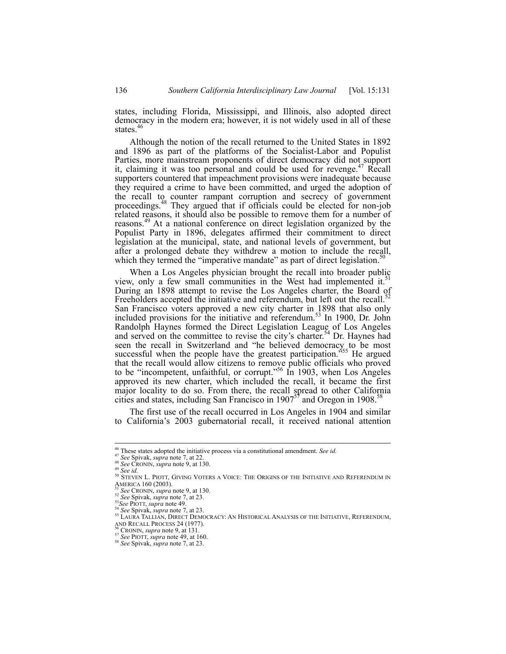states, including Florida, Mississippi, and Illinois, also adopted direct democracy in the modern era; however, it is not widely used in all of these states.<sup>46</sup>

Although the notion of the recall returned to the United States in 1892 and 1896 as part of the platforms of the Socialist-Labor and Populist Parties, more mainstream proponents of direct democracy did not support it, claiming it was too personal and could be used for revenge.<sup>47</sup> Recall supporters countered that impeachment provisions were inadequate because they required a crime to have been committed, and urged the adoption of the recall to counter rampant corruption and secrecy of government proceedings.<sup>48</sup> They argued that if officials could be elected for non-job related reasons, it should also be possible to remove them for a number of reasons.<sup>49</sup> At a national conference on direct legislation organized by the Populist Party in 1896, delegates affirmed their commitment to direct legislation at the municipal, state, and national levels of government, but after a prolonged debate they withdrew a motion to include the recall, which they termed the "imperative mandate" as part of direct legislation.<sup>5</sup>

When a Los Angeles physician brought the recall into broader public view, only a few small communities in the West had implemented it. $51$ During an 1898 attempt to revise the Los Angeles charter, the Board of Freeholders accepted the initiative and referendum, but left out the recall.<sup>52</sup> San Francisco voters approved a new city charter in 1898 that also only included provisions for the initiative and referendum.<sup>53</sup> In 1900, Dr. John Randolph Haynes formed the Direct Legislation League of Los Angeles and served on the committee to revise the city's charter.<sup>54</sup> Dr. Haynes had seen the recall in Switzerland and "he believed democracy to be most successful when the people have the greatest participation.<sup>555</sup> He argued that the recall would allow citizens to remove public officials who proved to be "incompetent, unfaithful, or corrupt."<sup>56</sup> In 1903, when Los Angeles approved its new charter, which included the recall, it became the first major locality to do so. From there, the recall spread to other California cities and states, including San Francisco in  $1907^{57}$  and Oregon in 1908.<sup>58</sup>

The first use of the recall occurred in Los Angeles in 1904 and similar to California's 2003 gubernatorial recall, it received national attention

 $46$  These states adopted the initiative process via a constitutional amendment. See id.

<sup>&</sup>lt;sup>47</sup> See Spivak, *supra* note 7, at 22.<br><sup>48</sup> See CRONIN, *supra* note 9, at 130.<br><sup>49</sup> See CRONIN, *supra* note 9, at 130.<br><sup>50</sup> STEVEN L. PIOTT, GIVING VOTERS A VOICE: THE ORIGINS OF THE INITIATIVE AND REFERENDUM IN<br>AMERICA

<sup>&</sup>lt;sup>51</sup> See CRONIN, *supra* note 9, at 130.<br><sup>52</sup> See Spivak, *supra* note 7, at 23.<br><sup>52</sup> See PloTT, *supra* note 49.<br><sup>54</sup> See Spivak, *supra* note 7, at 23.<br><sup>54</sup> See Spivak, *supra* note 7, at 23.<br><sup>55</sup> LAURA TALLIAN, DIRECT

AND RECALL PROCESS 24 (1977). 56 CRONIN, *supra* note 9, at 131. 57 *See* PIOTT, *supra* note 49, at 160. <sup>58</sup> *See* Spivak, *supra* note 7, at 23.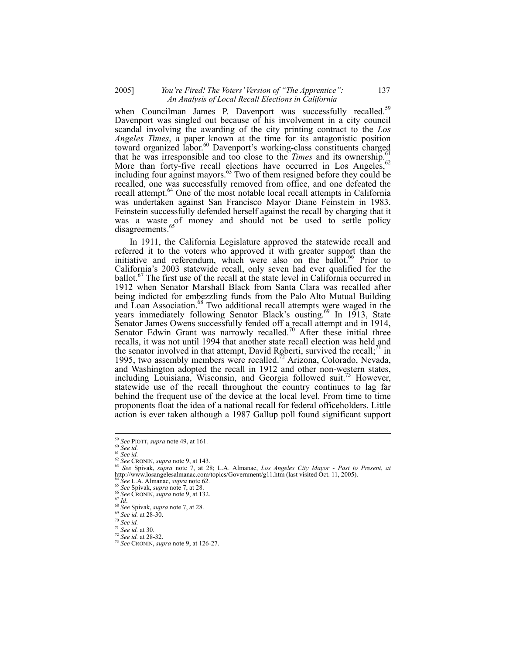## 2005] *You're Fired! The Voters' Version of "The Apprentice":* 137 *An Analysis of Local Recall Elections in California*

when Councilman James P. Davenport was successfully recalled.<sup>59</sup> Davenport was singled out because of his involvement in a city council scandal involving the awarding of the city printing contract to the *Los Angeles Times*, a paper known at the time for its antagonistic position toward organized labor.<sup>60</sup> Davenport's working-class constituents charged that he was irresponsible and too close to the *Times* and its ownership.<sup>61</sup> More than forty-five recall elections have occurred in Los Angeles,  $62$ including four against mayors. $63$  Two of them resigned before they could be recalled, one was successfully removed from office, and one defeated the recall attempt.<sup>64</sup> One of the most notable local recall attempts in California was undertaken against San Francisco Mayor Diane Feinstein in 1983. Feinstein successfully defended herself against the recall by charging that it was a waste of money and should not be used to settle policy disagreements.<sup>65</sup>

In 1911, the California Legislature approved the statewide recall and referred it to the voters who approved it with greater support than the initiative and referendum, which were also on the ballot.<sup>66</sup> Prior to California's 2003 statewide recall, only seven had ever qualified for the ballot.<sup>67</sup> The first use of the recall at the state level in California occurred in 1912 when Senator Marshall Black from Santa Clara was recalled after being indicted for embezzling funds from the Palo Alto Mutual Building and Loan Association.<sup>68</sup> Two additional recall attempts were waged in the years immediately following Senator Black's ousting.<sup>69</sup> In 1913, State Senator James Owens successfully fended off a recall attempt and in 1914, Senator Edwin Grant was narrowly recalled.<sup>70</sup> After these initial three recalls, it was not until 1994 that another state recall election was held and the senator involved in that attempt, David Roberti, survived the recall;<sup>71</sup> in 1995, two assembly members were recalled.<sup>72</sup> Arizona, Colorado, Nevada, and Washington adopted the recall in 1912 and other non-western states, including Louisiana, Wisconsin, and Georgia followed suit.<sup>73</sup> However, statewide use of the recall throughout the country continues to lag far behind the frequent use of the device at the local level. From time to time proponents float the idea of a national recall for federal officeholders. Little action is ever taken although a 1987 Gallup poll found significant support

<sup>&</sup>lt;sup>59</sup> See PIOTT, supra note 49, at 161.

<sup>&</sup>lt;sup>on Dee</sup> 1 1011, supra note 9, at 143.<br>
<sup>61</sup> See id.<br>
<sup>62</sup> See CRONIN, supra note 9, at 143.<br>
<sup>62</sup> See CRONIN, supra note 7, at 28; L.A. Almanac, *Los Angeles City Mayor* - *Past to Present*, *at*<br>
<sup>63</sup> See Spivak, *supra* http://www.losangelesalmanac.com/topics/Government/g11.htm (last visited Oct. 11, 2005).<br>
<sup>64</sup> See L.A. Almanac, *supra* note 62.<br>
65 See Spivak, *supra* note 7, at 28.<br>
65 See CRONIN, *supra* note 9, at 132.<br>
67 *Id.*<br>
6

<sup>71</sup> *See id.* at 30. 72 *See id.* at 28-32. 73 *See* CRONIN, *supra* note 9, at 126-27.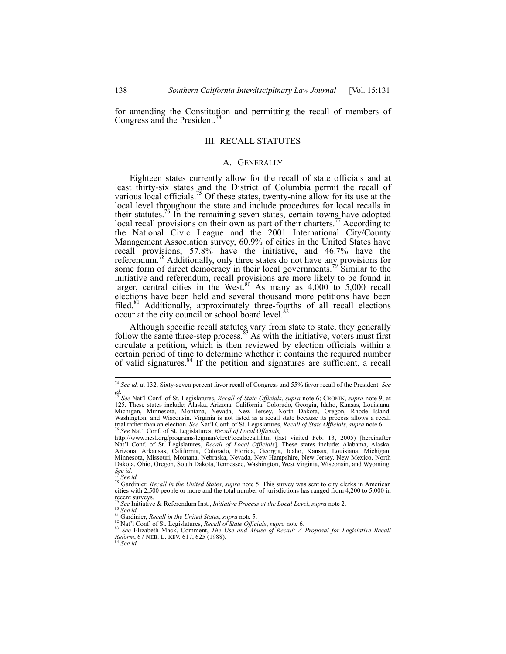for amending the Constitution and permitting the recall of members of Congress and the President.<sup>7</sup>

## III. RECALL STATUTES

### A. GENERALLY

Eighteen states currently allow for the recall of state officials and at least thirty-six states and the District of Columbia permit the recall of various local officials.<sup>75</sup> Of these states, twenty-nine allow for its use at the local level throughout the state and include procedures for local recalls in their statutes.<sup>76</sup> In the remaining seven states, certain towns have adopted local recall provisions on their own as part of their charters.<sup>77</sup> According to the National Civic League and the 2001 International City/County Management Association survey, 60.9% of cities in the United States have recall provisions, 57.8% have the initiative, and 46.7% have the referendum.<sup>78</sup> Additionally, only three states do not have any provisions for some form of direct democracy in their local governments.<sup>79</sup> Similar to the initiative and referendum, recall provisions are more likely to be found in larger, central cities in the West.<sup>80</sup> As many as  $4,000$  to  $5,000$  recall elections have been held and several thousand more petitions have been filed.<sup>81</sup> Additionally, approximately three-fourths of all recall elections occur at the city council or school board level.<sup>8</sup>

Although specific recall statutes vary from state to state, they generally follow the same three-step process. $83$  As with the initiative, voters must first circulate a petition, which is then reviewed by election officials within a certain period of time to determine whether it contains the required number of valid signatures.84 If the petition and signatures are sufficient, a recall

<sup>74</sup> *See id.* at 132. Sixty-seven percent favor recall of Congress and 55% favor recall of the President. *See id.* <sup>75</sup> *See* Nat'l Conf. of St. Legislatures, *Recall of State Officials*, *supra* note 6; CRONIN, *supra* note 9, at

<sup>125.</sup> These states include: Alaska, Arizona, California, Colorado, Georgia, Idaho, Kansas, Louisiana, Michigan, Minnesota, Montana, Nevada, New Jersey, North Dakota, Oregon, Rhode Island, Washington, and Wisconsin. Virginia is not listed as a recall state because its process allows a recall trial rather than an election. *See* Nat'l Conf. of St. Legislatures, *Recall of State Officials*, *supra* note 6. 76 *See* Nat'l Conf. of St. Legislatures, *Recall of Local Officials,* 

http://www.ncsl.org/programs/legman/elect/localrecall.htm (last visited Feb. 13, 2005) [hereinafter Nat'l Conf. of St. Legislatures, *Recall of Local Officials*]. These states include: Alabama, Alaska, Arizona, Arkansas, California, Colorado, Florida, Georgia, Idaho, Kansas, Louisiana, Michigan, Minnesota, Missouri, Montana, Nebraska, Nevada, New Hampshire, New Jersey, New Mexico, North Dakota, Ohio, Oregon, South Dakota, Tennessee, Washington, West Virginia, Wisconsin, and Wyoming. *See id.*

<sup>77</sup> *See id.* 78 Gardinier, *Recall in the United States*, *supra* note 5. This survey was sent to city clerks in American cities with 2,500 people or more and the total number of jurisdictions has ranged from 4,200 to 5,000 in recent surveys.

<sup>&</sup>lt;sup>79</sup> See Initiative & Referendum Inst., *Initiative Process at the Local Level*, *supra* note 2.<br><sup>80</sup> See *id.*<br><sup>81</sup> Gardinier, *Recall in the United States, supra* note 5.<br><sup>82</sup> Nat'l Conf. of St. Legislatures, *Recall of* 

<sup>&</sup>lt;sup>83</sup> *See Elizabeth Mack, Comment, The Use and Abuse of Recall: A Proposal for Legislative Recall 8-8 Cepter, 67 NEB. L. REV. 617, 625 (1988).<br><i>Reform*, 67 NEB. L. REV. 617, 625 (1988).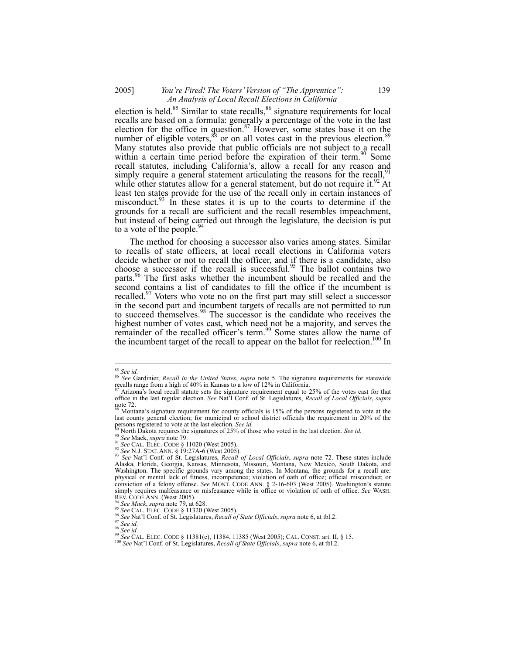## 2005] *You're Fired! The Voters' Version of "The Apprentice":* 139 *An Analysis of Local Recall Elections in California*

election is held.<sup>85</sup> Similar to state recalls, $86$  signature requirements for local recalls are based on a formula: generally a percentage of the vote in the last election for the office in question.<sup>87</sup> However, some states base it on the number of eligible voters, $88$  or on all votes cast in the previous election.<sup>89</sup> Many statutes also provide that public officials are not subject to a recall within a certain time period before the expiration of their term.<sup>90</sup> Some recall statutes, including California's, allow a recall for any reason and simply require a general statement articulating the reasons for the recall,<sup>9</sup> while other statutes allow for a general statement, but do not require it.<sup>92</sup> At least ten states provide for the use of the recall only in certain instances of misconduct.  $93 \text{ In }$  these states it is up to the courts to determine if the grounds for a recall are sufficient and the recall resembles impeachment, but instead of being carried out through the legislature, the decision is put to a vote of the people.  $94$ 

The method for choosing a successor also varies among states. Similar to recalls of state officers, at local recall elections in California voters decide whether or not to recall the officer, and if there is a candidate, also choose a successor if the recall is successful.<sup>95</sup> The ballot contains two parts.<sup>96</sup> The first asks whether the incumbent should be recalled and the second contains a list of candidates to fill the office if the incumbent is recalled.<sup>97</sup> Voters who vote no on the first part may still select a successor in the second part and incumbent targets of recalls are not permitted to run to succeed themselves.<sup>98</sup> The successor is the candidate who receives the highest number of votes cast, which need not be a majority, and serves the remainder of the recalled officer's term.<sup>99</sup> Some states allow the name of the incumbent target of the recall to appear on the ballot for reelection.<sup>100</sup> In

 $^{85}$  See id.

<sup>85</sup> *See id.* <sup>86</sup> *See* Gardinier, *Recall in the United States*, *supra* note 5. The signature requirements for statewide recalls range from a high of 40% in Kansas to a low of 12% in California.

Arizona's local recall statute sets the signature requirement equal to 25% of the votes cast for that office in the last regular election. *See* Nat'l Conf. of St. Legislatures, *Recall of Local Officials*, *supra* note  $72$ .

Montana's signature requirement for county officials is 15% of the persons registered to vote at the last county general election; for municipal or school district officials the requirement in 20% of the persons registered to vote at the last election. See id.

<sup>&</sup>lt;sup>89</sup> North Dakota requires the signatures of 25% of those who voted in the last election. *See id.*<br><sup>90</sup> See Mack, *supra* note 79.<br><sup>91</sup> See CAL. ELEC. CODE § 11020 (West 2005).<br><sup>92</sup> See N.J. STAT. ANN. § 19:27A-6 (West 2 Alaska, Florida, Georgia, Kansas, Minnesota, Missouri, Montana, New Mexico, South Dakota, and Washington. The specific grounds vary among the states. In Montana, the grounds for a recall are: physical or mental lack of fitness, incompetence; violation of oath of office; official misconduct; or conviction of a felony offense. *See* MONT. CODE ANN. § 2-16-603 (West 2005). Washington's statute simply requires malfeasance or misfeasance while in office or violation of oath of office. *See* WASH.<br>REV. CODE ANN. (West 2005).<br><sup>94</sup> See Mack suppra psis 70, at (20

<sup>&</sup>lt;sup>94</sup> See Mack, supra note 79, at 628.<br><sup>95</sup> See CAL. ELEC. CODE § 11320 (West 2005).<br><sup>97</sup> See Nat'l Conf. of St. Legislatures, *Recall of State Officials*, *supra* note 6, at tbl.2.<br><sup>97</sup> See id.<br><sup>99</sup> See id.<br><sup>99</sup> See CAL.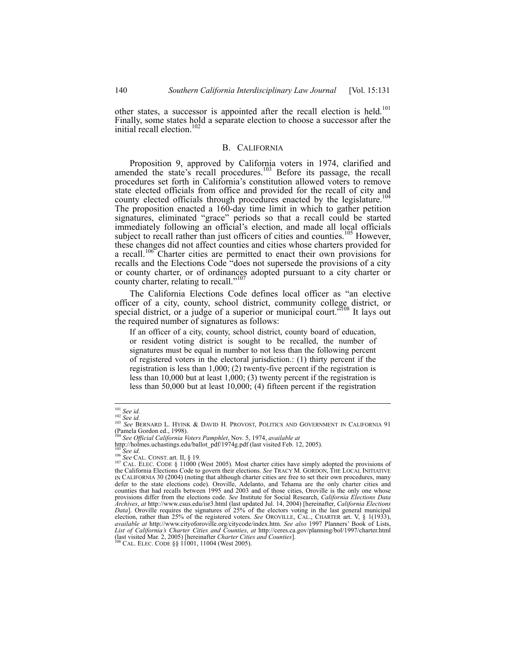other states, a successor is appointed after the recall election is held.<sup>101</sup> Finally, some states hold a separate election to choose a successor after the initial recall election. $102$ 

#### B. CALIFORNIA

Proposition 9, approved by California voters in 1974, clarified and amended the state's recall procedures.<sup>103</sup> Before its passage, the recall procedures set forth in California's constitution allowed voters to remove state elected officials from office and provided for the recall of city and county elected officials through procedures enacted by the legislature.<sup>104</sup> The proposition enacted a 160-day time limit in which to gather petition signatures, eliminated "grace" periods so that a recall could be started immediately following an official's election, and made all local officials subject to recall rather than just officers of cities and counties.<sup>105</sup> However, these changes did not affect counties and cities whose charters provided for a recall.<sup>106</sup> Charter cities are permitted to enact their own provisions for recalls and the Elections Code "does not supersede the provisions of a city or county charter, or of ordinances adopted pursuant to a city charter or county charter, relating to recall."<sup>10</sup>

The California Elections Code defines local officer as "an elective officer of a city, county, school district, community college district, or special district, or a judge of a superior or municipal court.<sup>5108</sup> It lays out the required number of signatures as follows:

If an officer of a city, county, school district, county board of education, or resident voting district is sought to be recalled, the number of signatures must be equal in number to not less than the following percent of registered voters in the electoral jurisdiction.: (1) thirty percent if the registration is less than 1,000; (2) twenty-five percent if the registration is less than 10,000 but at least 1,000; (3) twenty percent if the registration is less than 50,000 but at least 10,000; (4) fifteen percent if the registration

 $101$  See id.

<sup>101</sup> *See id.* <sup>102</sup> *See id.* <sup>103</sup> *See* BERNARD L. HYINK & DAVID H. PROVOST, POLITICS AND GOVERNMENT IN CALIFORNIA 91 (Pamela Gordon ed., 1998).

<sup>&</sup>lt;sup>104</sup> *See Official California Voters Pamphlet*, Nov. 5, 1974, *available at* http://holmes.uchastings.edu/ballot\_pdf/1974g.pdf (last visited Feb. 12, 2005).

<sup>&</sup>lt;sup>105</sup>See id.<br><sup>106</sup>See CAL. CONST. art. II, § 19.<br><sup>106</sup> See CAL. CONST. art. II, § 19.<br><sup>107</sup> CAL. ELEC. CODE § 11000 (West 2005). Most charter cities have simply adopted the provisions of the California Elections Code to govern their elections. *See* TRACY M. GORDON, THE LOCAL INITIATIVE IN CALIFORNIA 30 (2004) (noting that although charter cities are free to set their own procedures, many defer to the state elections code). Oroville, Adelanto, and Tehama are the only charter cities and counties that had recalls between 1995 and 2003 and of those cities, Oroville is the only one whose provisions differ from the elections code. *See* Institute for Social Research, *California Elections Data Archives*, *at* http://www.csus.edu/isr3.html (last updated Jul. 14, 2004) [hereinafter, *California Elections Data*]. Oroville requires the signatures of 25% of the electors voting in the last general municipal election, rather than 25% of the registered voters. *See* OROVILLE, CAL., CHARTER art. V, § 1(1933), *available at* http://www.cityoforoville.org/citycode/index.htm. *See also* 1997 Planners' Book of Lists, List of California's Charter Cities and Counties, at http://ceres.ca.gov/planning/bol/1997/charter.html (last visited Mar. 2, 2005) [hereinafter Charter Cities and Counties].<br><sup>108</sup> CAL. ELEC. CODE §§ 11001, 11004 (West 200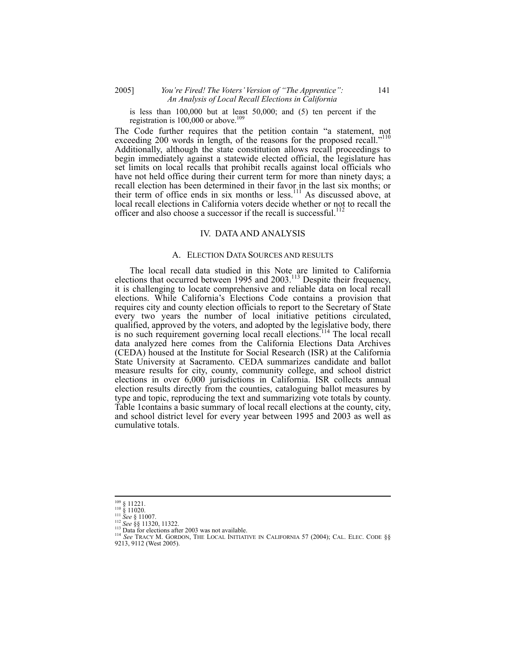## 2005] *You're Fired! The Voters' Version of "The Apprentice":* 141 *An Analysis of Local Recall Elections in California*

is less than 100,000 but at least 50,000; and (5) ten percent if the registration is  $100,000$  or above.<sup>109</sup>

The Code further requires that the petition contain "a statement, not exceeding 200 words in length, of the reasons for the proposed recall."<sup>110</sup> Additionally, although the state constitution allows recall proceedings to begin immediately against a statewide elected official, the legislature has set limits on local recalls that prohibit recalls against local officials who have not held office during their current term for more than ninety days; a recall election has been determined in their favor in the last six months; or their term of office ends in six months or less.<sup>111</sup> As discussed above, at local recall elections in California voters decide whether or not to recall the officer and also choose a successor if the recall is successful.<sup>112</sup>

#### IV. DATA AND ANALYSIS

#### A. ELECTION DATA SOURCES AND RESULTS

The local recall data studied in this Note are limited to California elections that occurred between 1995 and  $2003$ .<sup>113</sup> Despite their frequency, it is challenging to locate comprehensive and reliable data on local recall elections. While California's Elections Code contains a provision that requires city and county election officials to report to the Secretary of State every two years the number of local initiative petitions circulated, qualified, approved by the voters, and adopted by the legislative body, there is no such requirement governing local recall elections.<sup>114</sup> The local recall data analyzed here comes from the California Elections Data Archives (CEDA) housed at the Institute for Social Research (ISR) at the California State University at Sacramento. CEDA summarizes candidate and ballot measure results for city, county, community college, and school district elections in over 6,000 jurisdictions in California. ISR collects annual election results directly from the counties, cataloguing ballot measures by type and topic, reproducing the text and summarizing vote totals by county. Table 1contains a basic summary of local recall elections at the county, city, and school district level for every year between 1995 and 2003 as well as cumulative totals.

 $\frac{109}{110} \begin{array}{l} \text{11221.} \\ \text{110} \\ \text{111} \\ \text{1220.} \\ \text{1220.} \\ \text{1320.} \end{array}$ 

<sup>&</sup>lt;sup>112</sup> See §§ 11320, 11322.<br><sup>113</sup> Data for elections after 2003 was not available.<br><sup>114</sup> See TRACY M. GORDON, THE LOCAL INITIATIVE IN CALIFORNIA 57 (2004); CAL. ELEC. CODE §§ 9213, 9112 (West 2005).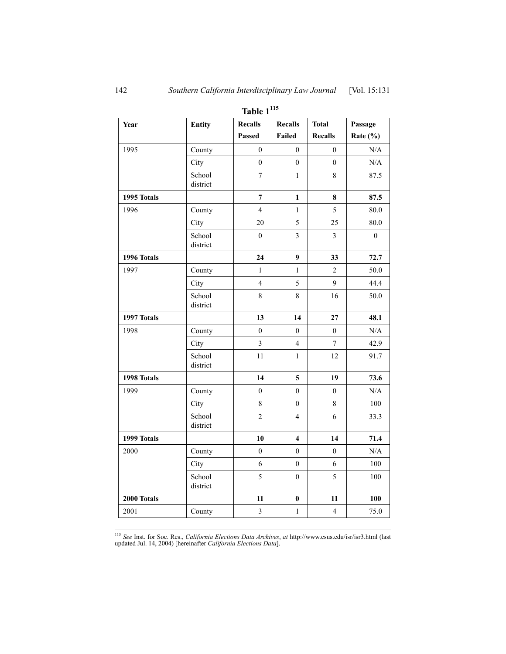| Year        | Entity             | <b>Recalls</b>          | <b>Recalls</b>          | <b>Total</b>            | Passage        |
|-------------|--------------------|-------------------------|-------------------------|-------------------------|----------------|
|             |                    | <b>Passed</b>           | <b>Failed</b>           | <b>Recalls</b>          | Rate $(\% )$   |
| 1995        | County             | $\mathbf{0}$            | $\mathbf{0}$            | $\boldsymbol{0}$        | $\rm N/A$      |
|             | City               | $\theta$                | $\theta$                | $\theta$                | $\rm N/A$      |
|             | School             | 7                       | 1                       | $8\,$                   | 87.5           |
|             | district           |                         |                         |                         |                |
| 1995 Totals |                    | $\overline{7}$          | 1                       | 8                       | 87.5           |
| 1996        | County             | $\overline{4}$          | $\mathbf{1}$            | $\sqrt{5}$              | 80.0           |
|             | City               | 20                      | 5                       | 25                      | 80.0           |
|             | School<br>district | $\boldsymbol{0}$        | $\overline{\mathbf{3}}$ | $\overline{\mathbf{3}}$ | $\overline{0}$ |
| 1996 Totals |                    | 24                      | 9                       | 33                      | 72.7           |
| 1997        | County             | $\mathbf{1}$            | $\mathbf{1}$            | $\overline{c}$          | 50.0           |
|             | City               | $\overline{4}$          | 5                       | 9                       | 44.4           |
|             | School<br>district | $\,8\,$                 | $\,8\,$                 | 16                      | 50.0           |
| 1997 Totals |                    | 13                      | 14                      | 27                      | 48.1           |
| 1998        | County             | $\overline{0}$          | $\overline{0}$          | $\overline{0}$          | N/A            |
|             | City               | $\overline{3}$          | $\overline{4}$          | $\overline{7}$          | 42.9           |
|             | School<br>district | 11                      | $\mathbf{1}$            | 12                      | 91.7           |
| 1998 Totals |                    | 14                      | $\overline{\mathbf{5}}$ | 19                      | 73.6           |
| 1999        | County             | $\boldsymbol{0}$        | $\boldsymbol{0}$        | $\boldsymbol{0}$        | $\rm N/A$      |
|             | City               | 8                       | $\mathbf{0}$            | 8                       | 100            |
|             | School<br>district | $\overline{c}$          | $\overline{4}$          | 6                       | 33.3           |
| 1999 Totals |                    | 10                      | 4                       | 14                      | 71.4           |
| 2000        | County             | $\mathbf{0}$            | $\theta$                | $\mathbf{0}$            | N/A            |
|             | City               | 6                       | $\mathbf{0}$            | 6                       | 100            |
|             | School<br>district | 5                       | $\boldsymbol{0}$        | 5                       | 100            |
| 2000 Totals |                    | 11                      | $\pmb{0}$               | 11                      | 100            |
| 2001        | County             | $\overline{\mathbf{3}}$ | $\mathbf{1}$            | $\overline{4}$          | 75.0           |

**Table 1<sup>115</sup>**

 $\overline{a}$ <sup>115</sup> *See* Inst. for Soc. Res., *California Elections Data Archives*, *at* http://www.csus.edu/isr/isr3.html (last updated Jul. 14, 2004) [hereinafter *California Elections Data*].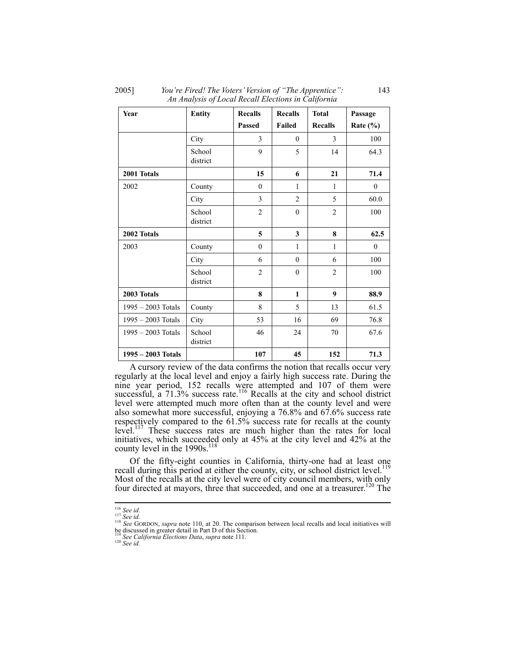2005] *You're Fired! The Voters' Version of "The Apprentice":* 143 *An Analysis of Local Recall Elections in California* 

| Year                 | <b>Entity</b>      | <b>Recalls</b> | <b>Recalls</b> | <b>Total</b>     | Passage     |
|----------------------|--------------------|----------------|----------------|------------------|-------------|
|                      |                    | Passed         | Failed         | <b>Recalls</b>   | Rate $(\%)$ |
|                      | City               | 3              | $\theta$       | 3                | 100         |
|                      | School<br>district | 9              | 5              | 14               | 64.3        |
| 2001 Totals          |                    | 15             | 6              | 21               | 71.4        |
| 2002                 | County             | $\theta$       | 1              | 1                | $\theta$    |
|                      | City               | 3              | $\overline{2}$ | 5                | 60.0        |
|                      | School<br>district | $\overline{2}$ | $\mathbf{0}$   | $\overline{2}$   | 100         |
| 2002 Totals          |                    | 5              | 3              | 8                | 62.5        |
| 2003                 | County             | $\mathbf{0}$   | $\mathbf{1}$   | 1                | $\theta$    |
|                      | City               | 6              | $\theta$       | 6                | 100         |
|                      | School<br>district | $\overline{2}$ | $\theta$       | $\overline{2}$   | 100         |
| 2003 Totals          |                    | 8              | $\mathbf{1}$   | $\boldsymbol{9}$ | 88.9        |
| $1995 - 2003$ Totals | County             | 8              | 5              | 13               | 61.5        |
| 1995 - 2003 Totals   | City               | 53             | 16             | 69               | 76.8        |
| $1995 - 2003$ Totals | School<br>district | 46             | 24             | 70               | 67.6        |
| 1995 - 2003 Totals   |                    | 107            | 45             | 152              | 71.3        |

A cursory review of the data confirms the notion that recalls occur very regularly at the local level and enjoy a fairly high success rate. During the nine year period, 152 recalls were attempted and 107 of them were successful, a  $71.3\%$  success rate.<sup>116</sup> Recalls at the city and school district level were attempted much more often than at the county level and were also somewhat more successful, enjoying a 76.8% and 67.6% success rate respectively compared to the 61.5% success rate for recalls at the county level.<sup>117</sup> These success rates are much higher than the rates for local initiatives, which succeeded only at 45% at the city level and 42% at the county level in the 1990s.<sup>118</sup>

Of the fifty-eight counties in California, thirty-one had at least one recall during this period at either the county, city, or school district level.<sup>119</sup> Most of the recalls at the city level were of city council members, with only four directed at mayors, three that succeeded, and one at a treasurer.<sup>120</sup> The

 $116$  See id.

<sup>116</sup> *See id.* <sup>117</sup> *See id.* <sup>118</sup> *See* GORDON, *supra* note 110, at 20. The comparison between local recalls and local initiatives will be discussed in greater detail in Part D of this Section. <sup>119</sup> *See California Elections Data*, *supra* note 111. 120 *See id.*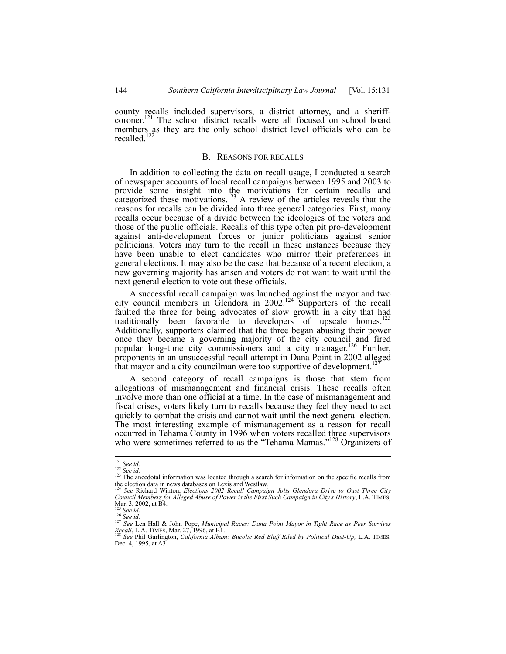county recalls included supervisors, a district attorney, and a sheriffcoroner.<sup>121</sup> The school district recalls were all focused on school board members as they are the only school district level officials who can be recalled.<sup>122</sup>

#### B. REASONS FOR RECALLS

In addition to collecting the data on recall usage, I conducted a search of newspaper accounts of local recall campaigns between 1995 and 2003 to provide some insight into the motivations for certain recalls and categorized these motivations.<sup>123</sup> A review of the articles reveals that the reasons for recalls can be divided into three general categories. First, many recalls occur because of a divide between the ideologies of the voters and those of the public officials. Recalls of this type often pit pro-development against anti-development forces or junior politicians against senior politicians. Voters may turn to the recall in these instances because they have been unable to elect candidates who mirror their preferences in general elections. It may also be the case that because of a recent election, a new governing majority has arisen and voters do not want to wait until the next general election to vote out these officials.

A successful recall campaign was launched against the mayor and two city council members in Glendora in  $2002$ .<sup>124</sup> Supporters of the recall faulted the three for being advocates of slow growth in a city that had traditionally been favorable to developers of upscale homes.<sup>125</sup> Additionally, supporters claimed that the three began abusing their power once they became a governing majority of the city council and fired popular long-time city commissioners and a city manager.<sup>126</sup> Further, proponents in an unsuccessful recall attempt in Dana Point in 2002 alleged that mayor and a city councilman were too supportive of development.

A second category of recall campaigns is those that stem from allegations of mismanagement and financial crisis. These recalls often involve more than one official at a time. In the case of mismanagement and fiscal crises, voters likely turn to recalls because they feel they need to act quickly to combat the crisis and cannot wait until the next general election. The most interesting example of mismanagement as a reason for recall occurred in Tehama County in 1996 when voters recalled three supervisors who were sometimes referred to as the "Tehama Mamas."<sup>128</sup> Organizers of

 $121$  See id.

<sup>&</sup>lt;sup>122</sup> *See id.*<br><sup>122</sup> *See id.* **123** *See id.* **123** The anecdotal information was located through a search for information on the specific recalls from the election data in news databases on Lexis and Westlaw.

<sup>124</sup> *See* Richard Winton, *Elections 2002 Recall Campaign Jolts Glendora Drive to Oust Three City Council Members for Alleged Abuse of Power is the First Such Campaign in City's History*, L.A. TIMES, Mar. 3, 2002, at B4.

<sup>126</sup> *See id.*<br><sup>126</sup> *See id.*<br><sup>127</sup> *See* Len Hall & John Pope, *Municipal Races: Dana Point Mayor in Tight Race as Peer Survives Real*, L.A. TIMES, Mar. 27, 1996, at B1.

*Recall*, L.A. TIMES, Mar. 27, 1996, at B1. 128 *See* Phil Garlington, *California Album: Bucolic Red Bluff Riled by Political Dust-Up,* L.A. TIMES, Dec. 4, 1995, at A3.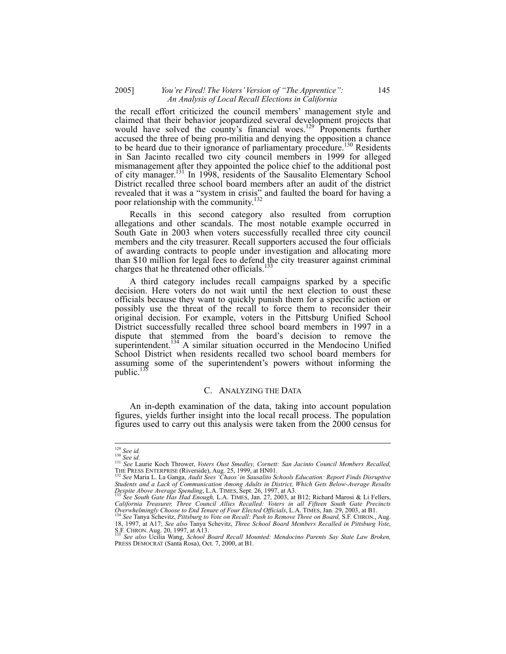## 2005] *You're Fired! The Voters' Version of "The Apprentice":* 145 *An Analysis of Local Recall Elections in California*

the recall effort criticized the council members' management style and claimed that their behavior jeopardized several development projects that would have solved the county's financial woes.<sup>129</sup> Proponents further accused the three of being pro-militia and denying the opposition a chance to be heard due to their ignorance of parliamentary procedure.<sup>130</sup> Residents in San Jacinto recalled two city council members in 1999 for alleged mismanagement after they appointed the police chief to the additional post of city manager.<sup>131</sup> In 1998, residents of the Sausalito Elementary School District recalled three school board members after an audit of the district revealed that it was a "system in crisis" and faulted the board for having a poor relationship with the community.<sup>132</sup>

Recalls in this second category also resulted from corruption allegations and other scandals. The most notable example occurred in South Gate in 2003 when voters successfully recalled three city council members and the city treasurer. Recall supporters accused the four officials of awarding contracts to people under investigation and allocating more than \$10 million for legal fees to defend the city treasurer against criminal charges that he threatened other officials.<sup>133</sup>

A third category includes recall campaigns sparked by a specific decision. Here voters do not wait until the next election to oust these officials because they want to quickly punish them for a specific action or possibly use the threat of the recall to force them to reconsider their original decision. For example, voters in the Pittsburg Unified School District successfully recalled three school board members in 1997 in a dispute that stemmed from the board's decision to remove the superintendent.<sup>134</sup> A similar situation occurred in the Mendocino Unified School District when residents recalled two school board members for assuming some of the superintendent's powers without informing the public.<sup>135</sup>

## C. ANALYZING THE DATA

An in-depth examination of the data, taking into account population figures, yields further insight into the local recall process. The population figures used to carry out this analysis were taken from the 2000 census for

 $\overline{\phantom{a}}$ 

<sup>&</sup>lt;sup>129</sup> See id.<br><sup>130</sup> See id.<br><sup>131</sup> See Laurie Koch Thrower, *Voters Oust Smedley, Cornett: San Jacinto Council Members Recalled,* THE PRESS ENTERPRISE (Riverside), Aug. 25, 1999, at HN01.<br><sup>132</sup> See Maria L. La Ganga, *Audit Sees 'Chaos' in Sausalito Schools Education: Report Finds Disruptive* 

*Students and a Lack of Communication Among Adults in District, Which Gets Below-Average Results Despite Above Average Spending*, L.A. TIMES, Sept. 26, 1997, at A3. 133 *See South Gate Has Had Enough,* L.A. TIMES, Jan. 27, 2003, at B12; Richard Marosi & Li Fellers,

*California Treasurer, Three Council Allies Recalled: Voters in all Fifteen South Gate Precincts Overwhelmingly Choose to End Tenure of Four Elected Officials*, L.A. TIMES, Jan. 29, 2003, at B1. 134 *See* Tanya Schevitz, *Pittsburg to Vote on Recall: Push to Remove Three on Board,* S.F. CHRON., Aug.

<sup>18, 1997,</sup> at A17; *See also Tanya Schevitz, Three School Board Members Recalled in Pittsburg Vote,*<br>S.F. CHRON. Aug. 20, 1997, at A13.<br><sup>135</sup> See also Ucilia Wang, *School Board Recall Mounted: Mendocino Parents Say State L* 

PRESS DEMOCRAT (Santa Rosa), Oct. 7, 2000, at B1.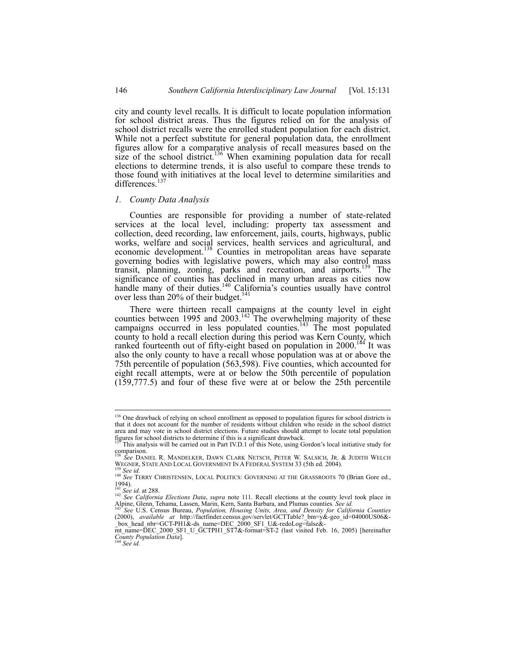city and county level recalls. It is difficult to locate population information for school district areas. Thus the figures relied on for the analysis of school district recalls were the enrolled student population for each district. While not a perfect substitute for general population data, the enrollment figures allow for a comparative analysis of recall measures based on the size of the school district.<sup>136</sup> When examining population data for recall elections to determine trends, it is also useful to compare these trends to those found with initiatives at the local level to determine similarities and differences.<sup>137</sup>

#### *1. County Data Analysis*

Counties are responsible for providing a number of state-related services at the local level, including: property tax assessment and collection, deed recording, law enforcement, jails, courts, highways, public works, welfare and social services, health services and agricultural, and economic development.<sup>138</sup> Counties in metropolitan areas have separate governing bodies with legislative powers, which may also control mass transit, planning, zoning, parks and recreation, and airports.<sup>139</sup> The significance of counties has declined in many urban areas as cities now handle many of their duties.<sup>140</sup> California's counties usually have control over less than 20% of their budget.<sup>141</sup>

There were thirteen recall campaigns at the county level in eight counties between 1995 and  $2003$ .<sup>142</sup> The overwhelming majority of these campaigns occurred in less populated counties.<sup>143</sup> The most populated county to hold a recall election during this period was Kern County, which ranked fourteenth out of fifty-eight based on population in  $2000$ .<sup>144</sup> It was also the only county to have a recall whose population was at or above the 75th percentile of population (563,598). Five counties, which accounted for eight recall attempts, were at or below the 50th percentile of population (159,777.5) and four of these five were at or below the 25th percentile

<sup>&</sup>lt;sup>136</sup> One drawback of relying on school enrollment as opposed to population figures for school districts is that it does not account for the number of residents without children who reside in the school district area and may vote in school district elections. Future studies should attempt to locate total population figures for school districts to determine if this is a significant drawback. 137 This analysis will be carried out in Part IV.D.1 of this Note, using Gordon's local initiative study for

comparison.

<sup>&</sup>lt;sup>138</sup> *See* DANIEL R. MANDELKER, DAWN CLARK NETSCH, PETER W. SALSICH, JR. & JUDITH WELCH<br>WEGNER, STATE AND LOCAL GOVERNMENT IN A FEDERAL SYSTEM 33 (5th ed. 2004).

<sup>&</sup>lt;sup>139</sup> See id.<br><sup>140</sup> See TERRY CHRISTENSEN, LOCAL POLITICS: GOVERNING AT THE GRASSROOTS 70 (Brian Gore ed., 1994).<br><sup>141</sup> *See id.* at 288.<br><sup>142</sup> *See California Elections Data, supra* note 111. Recall elections at the county level took place in

Alpine, Glenn, Tehama, Lassen, Marin, Kern, Santa Barbara, and Plumas counties. *See id.* <sup>143</sup> *See* U.S. Census Bureau, *Population, Housing Units, Area, and Density for California Counties*

<sup>(2000),</sup> *available at* http://factfinder.census.gov/servlet/GCTTable?\_bm=y&-geo\_id=04000US06&-

\_box\_head\_nbr=GCT-PH1&-ds\_name=DEC\_2000\_SF1\_U&-redoLog=false&- mt\_name=DEC\_2000\_SF1\_U\_GCTPH1\_ST7&-format=ST-2 (last visited Feb. 16, 2005) [hereinafter *County Population Data*]. 144 *See id.*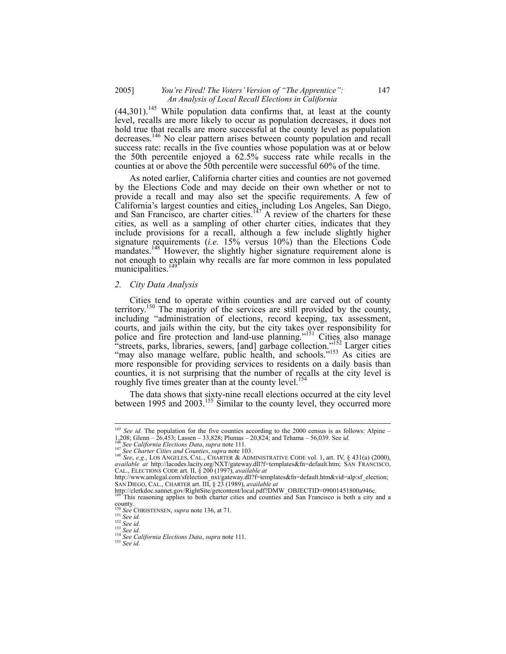## 2005] *You're Fired! The Voters' Version of "The Apprentice":* 147 *An Analysis of Local Recall Elections in California*

 $(44,301)$ <sup>145</sup> While population data confirms that, at least at the county level, recalls are more likely to occur as population decreases, it does not hold true that recalls are more successful at the county level as population decreases.146 No clear pattern arises between county population and recall success rate: recalls in the five counties whose population was at or below the 50th percentile enjoyed a 62.5% success rate while recalls in the counties at or above the 50th percentile were successful 60% of the time.

As noted earlier, California charter cities and counties are not governed by the Elections Code and may decide on their own whether or not to provide a recall and may also set the specific requirements. A few of California's largest counties and cities, including Los Angeles, San Diego, and San Francisco, are charter cities.<sup>147</sup> A review of the charters for these cities, as well as a sampling of other charter cities, indicates that they include provisions for a recall, although a few include slightly higher signature requirements (*i.e.* 15% versus 10%) than the Elections Code mandates.<sup>148</sup> However, the slightly higher signature requirement alone is not enough to explain why recalls are far more common in less populated municipalities.<sup>1</sup>

#### *2. City Data Analysis*

Cities tend to operate within counties and are carved out of county territory.150 The majority of the services are still provided by the county, including "administration of elections, record keeping, tax assessment, courts, and jails within the city, but the city takes over responsibility for police and fire protection and land-use planning."<sup>151</sup> Cities also manage "streets, parks, libraries, sewers, [and] garbage collection."<sup>152</sup> Larger cities "may also manage welfare, public health, and schools."<sup>153</sup> As cities are more responsible for providing services to residents on a daily basis than counties, it is not surprising that the number of recalls at the city level is roughly five times greater than at the county level.<sup>154</sup>

The data shows that sixty-nine recall elections occurred at the city level between 1995 and 2003.<sup>155</sup> Similar to the county level, they occurred more

 $\overline{\phantom{a}}$ 

<sup>&</sup>lt;sup>145</sup> *See id.* The population for the five counties according to the 2000 census is as follows: Alpine –

<sup>&</sup>lt;sup>146</sup> See California Elections Data, supra note 111.<br><sup>147</sup> See Charter Cities and Counties, supra note 103.<br><sup>148</sup> See, e.g., LOS ANGELES, CAL., CHARTER & ADMINISTRATIVE CODE vol. 1, art. IV, § 431(a) (2000), *available at* http://lacodes.lacity.org/NXT/gateway.dll?f=templates&fn=default.htm; SAN FRANCISCO, CAL., ELECTIONS CODE art. II, § 200 (1997), *available at* 

http://www.amlegal.com/sfelection\_nxt/gateway.dll?f=templates&fn=default.htm&vid=alp:sf\_election; SAN DIEGO, CAL., CHARTER art. III, § 23 (1989), *available at*

http://clerkdoc.sannet.gov/RightSite/getcontent/local.pdf?DMW\_OBJECTID=09001451800a946c.<br><sup>149</sup> This reasoning applies to both charter cities and counties and San Francisco is both a city and a

county.<br>  $^{150}$  See CHRISTENSEN, supra note 136, at 71.<br>  $^{151}$  See id.<br>  $^{152}$  See id.

<sup>&</sup>lt;sup>152</sup> *See id.*<br><sup>153</sup> *See id.*<br><sup>154</sup> *See California Elections Data*, *supra* note 111.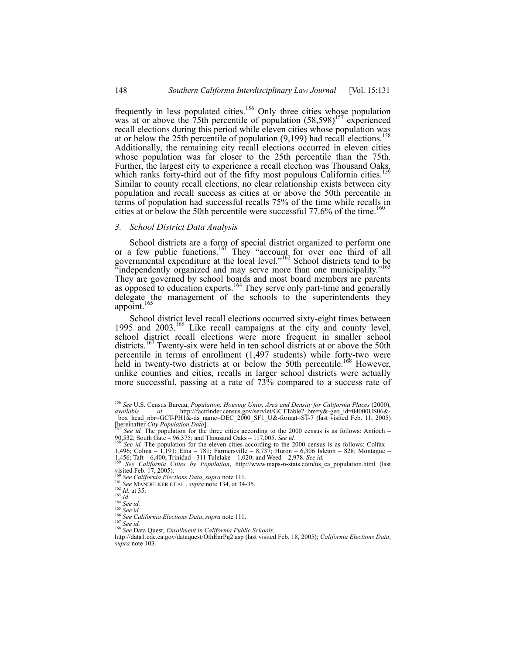frequently in less populated cities.<sup>156</sup> Only three cities whose population was at or above the  $75$ th percentile of population  $(58,598)^{157}$  experienced recall elections during this period while eleven cities whose population was at or below the 25th percentile of population  $(9,199)$  had recall elections. Additionally, the remaining city recall elections occurred in eleven cities whose population was far closer to the 25th percentile than the 75th. Further, the largest city to experience a recall election was Thousand Oaks which ranks forty-third out of the fifty most populous California cities.<sup>1</sup> Similar to county recall elections, no clear relationship exists between city population and recall success as cities at or above the 50th percentile in terms of population had successful recalls 75% of the time while recalls in cities at or below the 50th percentile were successful 77.6% of the time.<sup>16</sup>

## *3. School District Data Analysis*

School districts are a form of special district organized to perform one or a few public functions.<sup>161</sup> They "account for over one third of all governmental expenditure at the local level."162 School districts tend to be independently organized and may serve more than one municipality.' They are governed by school boards and most board members are parents as opposed to education experts.<sup>164</sup> They serve only part-time and generally delegate the management of the schools to the superintendents they appoint.<sup>16</sup>

School district level recall elections occurred sixty-eight times between 1995 and 2003.<sup>166</sup> Like recall campaigns at the city and county level, school district recall elections were more frequent in smaller school districts.<sup>167</sup> Twenty-six were held in ten school districts at or above the 50th percentile in terms of enrollment (1,497 students) while forty-two were held in twenty-two districts at or below the 50th percentile.<sup>168</sup> However, unlike counties and cities, recalls in larger school districts were actually more successful, passing at a rate of 73% compared to a success rate of

<sup>156</sup> *See* U.S. Census Bureau, *Population, Housing Units, Area and Density for California Places* (2000), *available at* http://factfinder.census.gov/servlet/GCTTable?\_bm=y&-geo\_id=04000US06&- \_box\_head\_nbr=GCT-PH1&-ds\_name=DEC\_2000\_SF1\_U&-format=ST-7 (last visited Feb. 11, 2005)

<sup>[</sup>hereinafter *City Population Data*]. 157 *See id.* The population for the three cities according to the 2000 census is as follows: Antioch – 90,532; South Gate – 96,375; and Thousand Oaks – 117,005. *See id.* <sup>158</sup> *See id.* 158 *See id.* The population for the eleven cities according to the 2000 census is as follows: Colfax –

<sup>1,496;</sup> Colma – 1,191; Etna – 781; Farmersville – 8,737; Huron – 6,306 Isleton – 828; Montague –  $1.456$ ; Taft – 6,400; Trinidad - 311 Tulelake – 1,020; and Weed – 2,978. See id.

<sup>1,456;</sup> Taft – 6,400; Trinidad - 311 Tulelake – 1,020; and Weed – 2,978. *See id.* <sup>159</sup> *See California Cities by Population*, http://www.maps-n-stats.com/us\_ca\_population.html (last visited Feb. 17, 2005).<br><sup>160</sup> See California Elections Data, supra note 111.<br><sup>161</sup> See MANDELKER ET AL., supra note 134, at 34-35.

<sup>162</sup> *Id.* at 35.<br>
163 *Id.*<br>
164 *Id.* at 35.<br>
164 *See id.*<br>
164 *See id.*<br>
165 *Iet.*<br>
166 *See lat.*<br>
166 *See lat.*<br>
166 *See id.*<br>
167 *See id.*<br>
167 *See lat.*<br>
167 *See lat.*<br>
167 *See lat.*<br>
167 *See lat.*<br>
167 *S supra* note 103.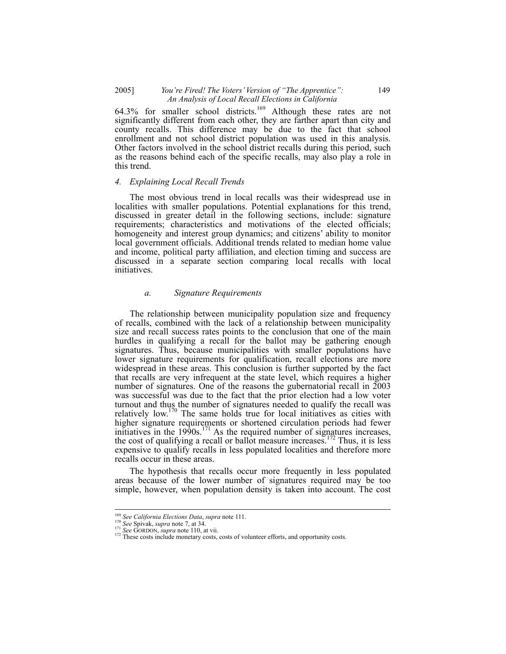## 2005] *You're Fired! The Voters' Version of "The Apprentice":* 149 *An Analysis of Local Recall Elections in California*

64.3% for smaller school districts.<sup>169</sup> Although these rates are not significantly different from each other, they are farther apart than city and county recalls. This difference may be due to the fact that school enrollment and not school district population was used in this analysis. Other factors involved in the school district recalls during this period, such as the reasons behind each of the specific recalls, may also play a role in this trend.

## *4. Explaining Local Recall Trends*

The most obvious trend in local recalls was their widespread use in localities with smaller populations. Potential explanations for this trend, discussed in greater detail in the following sections, include: signature requirements; characteristics and motivations of the elected officials; homogeneity and interest group dynamics; and citizens' ability to monitor local government officials. Additional trends related to median home value and income, political party affiliation, and election timing and success are discussed in a separate section comparing local recalls with local initiatives.

#### *a. Signature Requirements*

The relationship between municipality population size and frequency of recalls, combined with the lack of a relationship between municipality size and recall success rates points to the conclusion that one of the main hurdles in qualifying a recall for the ballot may be gathering enough signatures. Thus, because municipalities with smaller populations have lower signature requirements for qualification, recall elections are more widespread in these areas. This conclusion is further supported by the fact that recalls are very infrequent at the state level, which requires a higher number of signatures. One of the reasons the gubernatorial recall in 2003 was successful was due to the fact that the prior election had a low voter turnout and thus the number of signatures needed to qualify the recall was relatively low.<sup>170</sup> The same holds true for local initiatives as cities with higher signature requirements or shortened circulation periods had fewer initiatives in the  $1990s$ .<sup>171</sup> As the required number of signatures increases, the cost of qualifying a recall or ballot measure increases.<sup>172</sup> Thus, it is less expensive to qualify recalls in less populated localities and therefore more recalls occur in these areas.

The hypothesis that recalls occur more frequently in less populated areas because of the lower number of signatures required may be too simple, however, when population density is taken into account. The cost

<sup>&</sup>lt;sup>169</sup> See California Elections Data, supra note 111.<br><sup>170</sup> See Spivak, supra note 7, at 34.<br><sup>171</sup> See GORDON, *supra* note 110, at vii.<br><sup>172</sup> These costs include monetary costs, costs of volunteer efforts, and opportunity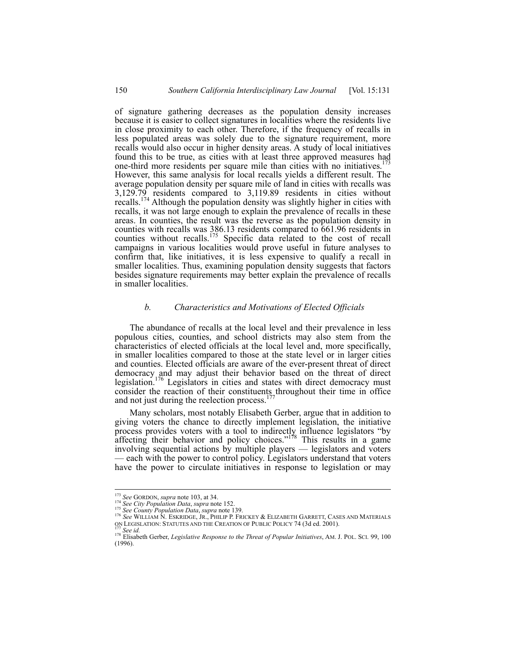of signature gathering decreases as the population density increases because it is easier to collect signatures in localities where the residents live in close proximity to each other. Therefore, if the frequency of recalls in less populated areas was solely due to the signature requirement, more recalls would also occur in higher density areas. A study of local initiatives found this to be true, as cities with at least three approved measures had one-third more residents per square mile than cities with no initiatives.<sup>1</sup> However, this same analysis for local recalls yields a different result. The average population density per square mile of land in cities with recalls was 3,129.79 residents compared to 3,119.89 residents in cities without recalls.<sup>174</sup> Although the population density was slightly higher in cities with recalls, it was not large enough to explain the prevalence of recalls in these areas. In counties, the result was the reverse as the population density in counties with recalls was 386.13 residents compared to 661.96 residents in counties without recalls.175 Specific data related to the cost of recall campaigns in various localities would prove useful in future analyses to confirm that, like initiatives, it is less expensive to qualify a recall in smaller localities. Thus, examining population density suggests that factors besides signature requirements may better explain the prevalence of recalls in smaller localities.

#### *b. Characteristics and Motivations of Elected Officials*

The abundance of recalls at the local level and their prevalence in less populous cities, counties, and school districts may also stem from the characteristics of elected officials at the local level and, more specifically, in smaller localities compared to those at the state level or in larger cities and counties. Elected officials are aware of the ever-present threat of direct democracy and may adjust their behavior based on the threat of direct legislation.<sup>176</sup> Legislators in cities and states with direct democracy must consider the reaction of their constituents throughout their time in office and not just during the reelection process.<sup>177</sup>

Many scholars, most notably Elisabeth Gerber, argue that in addition to giving voters the chance to directly implement legislation, the initiative process provides voters with a tool to indirectly influence legislators "by affecting their behavior and policy choices."<sup>178</sup> This results in a game involving sequential actions by multiple players — legislators and voters — each with the power to control policy. Legislators understand that voters have the power to circulate initiatives in response to legislation or may

<sup>&</sup>lt;sup>173</sup> See GORDON, supra note 103, at 34.

<sup>&</sup>lt;sup>174</sup> See GORDON, supra note 105, at 5+.<br><sup>174</sup> See City Population Data, supra note 152.<br><sup>175</sup> See County Population Data, supra note 139.<br><sup>176</sup> See WILLIAM N. ESKRIDGE, JR., PHILIP P. FRICKEY & ELIZABETH GARRETT, CASES AN

<sup>&</sup>lt;sup>177</sup> See id.<br><sup>178</sup> Elisabeth Gerber, *Legislative Response to the Threat of Popular Initiatives*, AM. J. POL. SCI. 99, 100 (1996).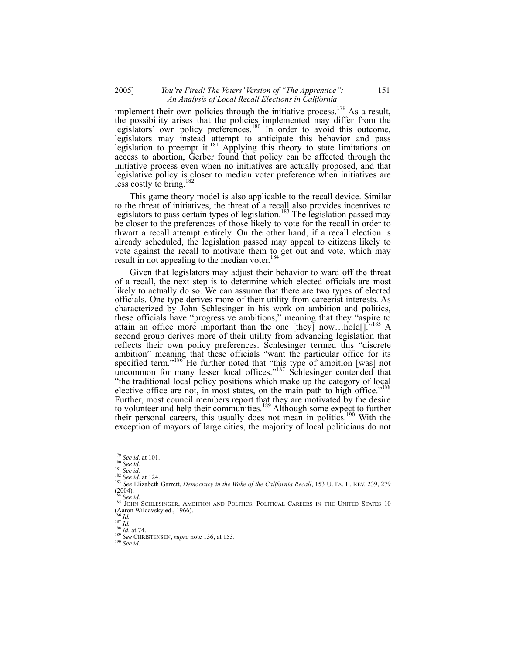## 2005] *You're Fired! The Voters' Version of "The Apprentice":* 151 *An Analysis of Local Recall Elections in California*

implement their own policies through the initiative process.<sup>179</sup> As a result, the possibility arises that the policies implemented may differ from the legislators' own policy preferences.<sup>180</sup> In order to avoid this outcome, legislators may instead attempt to anticipate this behavior and pass legislation to preempt it.<sup>181</sup> Applying this theory to state limitations on access to abortion, Gerber found that policy can be affected through the initiative process even when no initiatives are actually proposed, and that legislative policy is closer to median voter preference when initiatives are less costly to bring.

This game theory model is also applicable to the recall device. Similar to the threat of initiatives, the threat of a recall also provides incentives to legislators to pass certain types of legislation.<sup>183</sup> The legislation passed may be closer to the preferences of those likely to vote for the recall in order to thwart a recall attempt entirely. On the other hand, if a recall election is already scheduled, the legislation passed may appeal to citizens likely to vote against the recall to motivate them to get out and vote, which may result in not appealing to the median voter.<sup>184</sup>

Given that legislators may adjust their behavior to ward off the threat of a recall, the next step is to determine which elected officials are most likely to actually do so. We can assume that there are two types of elected officials. One type derives more of their utility from careerist interests. As characterized by John Schlesinger in his work on ambition and politics, these officials have "progressive ambitions," meaning that they "aspire to attain an office more important than the one [they] now...hold[]. $\frac{1}{1}$ <sup>185</sup> A second group derives more of their utility from advancing legislation that reflects their own policy preferences. Schlesinger termed this "discrete ambition" meaning that these officials "want the particular office for its specified term."<sup>186</sup> He further noted that "this type of ambition [was] not uncommon for many lesser local offices."<sup>187</sup> Schlesinger contended that "the traditional local policy positions which make up the category of local elective office are not, in most states, on the main path to high office."<sup>188</sup> Further, most council members report that they are motivated by the desire to volunteer and help their communities.<sup>189</sup> Although some expect to further their personal careers, this usually does not mean in politics.<sup>190</sup> With the exception of mayors of large cities, the majority of local politicians do not

 $179$  See id. at 101.

<sup>&</sup>lt;sup>179</sup> *See id.* at 101.<br><sup>180</sup> *See id.*<br><sup>182</sup> *See id.* at 124.<br><sup>182</sup> *See id.* at 124.<br><sup>183</sup> *See Elizabeth Garrett, Democracy in the Wake of the California Recall, 153 U. PA. L. REV. 239, 279*  $(2004)$ .<br><sup>184</sup> See id.

<sup>&</sup>lt;sup>185</sup> JOHN SCHLESINGER, AMBITION AND POLITICS: POLITICAL CAREERS IN THE UNITED STATES 10 (Aaron Wildavsky ed., 1966).<br><sup>186</sup> *Id.*<br><sup>187</sup> *Id.* at 74.<br><sup>189</sup> *See* CHRISTENSEN, *supra* note 136, at 153.<br><sup>190</sup> *See id.*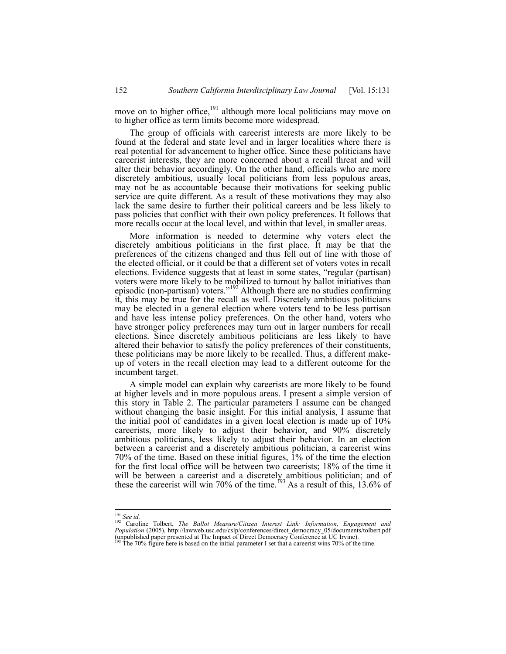move on to higher office,<sup>191</sup> although more local politicians may move on to higher office as term limits become more widespread.

The group of officials with careerist interests are more likely to be found at the federal and state level and in larger localities where there is real potential for advancement to higher office. Since these politicians have careerist interests, they are more concerned about a recall threat and will alter their behavior accordingly. On the other hand, officials who are more discretely ambitious, usually local politicians from less populous areas, may not be as accountable because their motivations for seeking public service are quite different. As a result of these motivations they may also lack the same desire to further their political careers and be less likely to pass policies that conflict with their own policy preferences. It follows that more recalls occur at the local level, and within that level, in smaller areas.

More information is needed to determine why voters elect the discretely ambitious politicians in the first place. It may be that the preferences of the citizens changed and thus fell out of line with those of the elected official, or it could be that a different set of voters votes in recall elections. Evidence suggests that at least in some states, "regular (partisan) voters were more likely to be mobilized to turnout by ballot initiatives than episodic (non-partisan) voters."<sup>192</sup> Although there are no studies confirming it, this may be true for the recall as well. Discretely ambitious politicians may be elected in a general election where voters tend to be less partisan and have less intense policy preferences. On the other hand, voters who have stronger policy preferences may turn out in larger numbers for recall elections. Since discretely ambitious politicians are less likely to have altered their behavior to satisfy the policy preferences of their constituents, these politicians may be more likely to be recalled. Thus, a different makeup of voters in the recall election may lead to a different outcome for the incumbent target.

A simple model can explain why careerists are more likely to be found at higher levels and in more populous areas. I present a simple version of this story in Table 2. The particular parameters I assume can be changed without changing the basic insight. For this initial analysis, I assume that the initial pool of candidates in a given local election is made up of 10% careerists, more likely to adjust their behavior, and 90% discretely ambitious politicians, less likely to adjust their behavior. In an election between a careerist and a discretely ambitious politician, a careerist wins 70% of the time. Based on these initial figures, 1% of the time the election for the first local office will be between two careerists; 18% of the time it will be between a careerist and a discretely ambitious politician; and of these the careerist will win 70% of the time.<sup>193</sup> As a result of this, 13.6% of

<sup>&</sup>lt;sup>191</sup> See id.<br><sup>192</sup> Caroline Tolbert, *The Ballot Measure/Citizen Interest Link: Information, Engagement and Population* (2005), http://lawweb.usc.edu/cslp/conferences/direct\_democracy\_05/documents/tolbert.pdf (unpublished paper presented at The Impact of Direct Democracy Conference at UC Irvine).<br><sup>193</sup> The 70% figure here is ba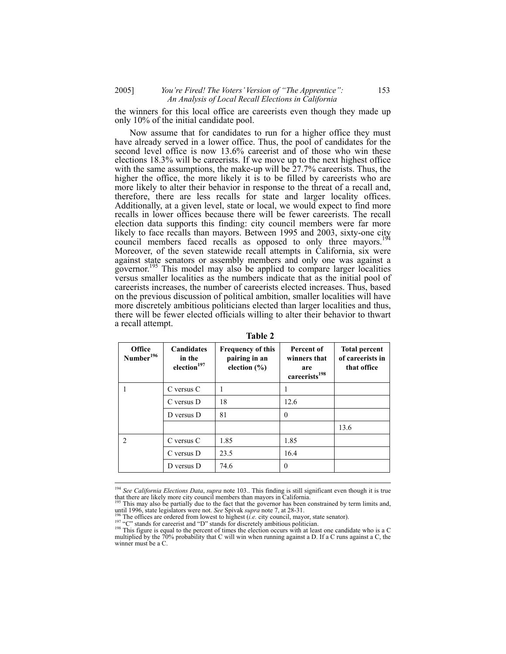2005] *You're Fired! The Voters' Version of "The Apprentice":* 153 *An Analysis of Local Recall Elections in California* 

the winners for this local office are careerists even though they made up only 10% of the initial candidate pool.

Now assume that for candidates to run for a higher office they must have already served in a lower office. Thus, the pool of candidates for the second level office is now 13.6% careerist and of those who win these elections 18.3% will be careerists. If we move up to the next highest office with the same assumptions, the make-up will be  $27.7\%$  careerists. Thus, the higher the office, the more likely it is to be filled by careerists who are more likely to alter their behavior in response to the threat of a recall and, therefore, there are less recalls for state and larger locality offices. Additionally, at a given level, state or local, we would expect to find more recalls in lower offices because there will be fewer careerists. The recall election data supports this finding: city council members were far more election data supports this intense.  $\lambda$ ,  $\lambda$  cometarism control is sixty-one city likely to face recalls than mayors. Between 1995 and 2003, sixty-one city council members faced recalls as opposed to only three mayors.<sup>1</sup> Moreover, of the seven statewide recall attempts in California, six were against state senators or assembly members and only one was against a governor.<sup>195</sup> This model may also be applied to compare larger localities versus smaller localities as the numbers indicate that as the initial pool of careerists increases, the number of careerists elected increases. Thus, based on the previous discussion of political ambition, smaller localities will have more discretely ambitious politicians elected than larger localities and thus, there will be fewer elected officials willing to alter their behavior to thwart a recall attempt.

| <b>Office</b><br>Number <sup>196</sup> | <b>Candidates</b><br>in the<br>election <sup>197</sup> | <b>Frequency of this</b><br>pairing in an<br>election $(\% )$ | Percent of<br>winners that<br>are<br>careerists <sup>198</sup> | <b>Total percent</b><br>of careerists in<br>that office |
|----------------------------------------|--------------------------------------------------------|---------------------------------------------------------------|----------------------------------------------------------------|---------------------------------------------------------|
|                                        | C versus C                                             |                                                               |                                                                |                                                         |
|                                        | C versus D                                             | 18                                                            | 12.6                                                           |                                                         |
|                                        | D versus D                                             | 81                                                            | $\Omega$                                                       |                                                         |
|                                        |                                                        |                                                               |                                                                | 13.6                                                    |
| $\mathfrak{D}_{\mathfrak{p}}$          | C versus C                                             | 1.85                                                          | 1.85                                                           |                                                         |
|                                        | C versus D                                             | 23.5                                                          | 16.4                                                           |                                                         |
|                                        | D versus D                                             | 74.6                                                          | $\Omega$                                                       |                                                         |

**Table 2** 

that 1250, state increases we contend from lowest to highest (*i.e.* city council, mayor, state senator).<br><sup>197</sup> "C" stands for careerist and "D" stands for discretely ambitious politician.

 $\overline{\phantom{a}}$ 

<sup>194</sup> *See California Elections Data*, *supra* note 103.. This finding is still significant even though it is true

that there are likely more city council members than mayors in California.<br><sup>195</sup> This may also be partially due to the fact that the governor has been constrained by term limits and, until 1996, state legislators were not

<sup>&</sup>lt;sup>198</sup> This figure is equal to the percent of times the election occurs with at least one candidate who is a C multiplied by the  $70\%$  probability that C will win when running against a D. If a C runs against a C, the winner must be a C.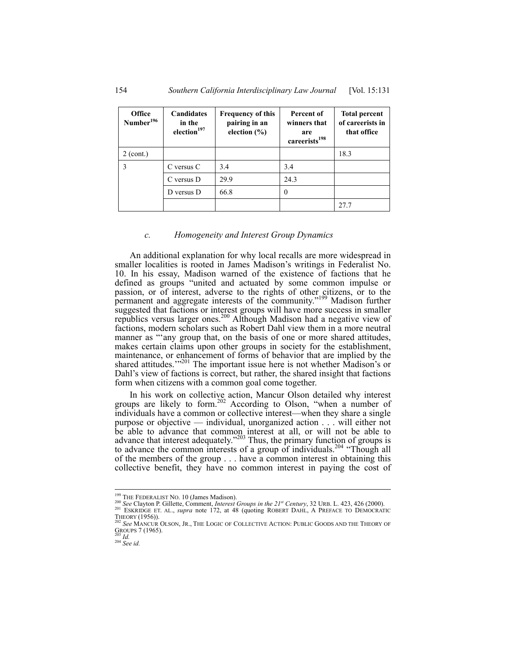| <b>Office</b><br>Number <sup>196</sup> | <b>Candidates</b><br>in the<br>election <sup>197</sup> | <b>Frequency of this</b><br>pairing in an<br>election $(\% )$ | Percent of<br>winners that<br>are<br>careerists <sup>198</sup> | <b>Total percent</b><br>of careerists in<br>that office |
|----------------------------------------|--------------------------------------------------------|---------------------------------------------------------------|----------------------------------------------------------------|---------------------------------------------------------|
| $2$ (cont.)                            |                                                        |                                                               |                                                                | 18.3                                                    |
| 3                                      | C versus C                                             | 3.4                                                           | 3.4                                                            |                                                         |
|                                        | C versus D                                             | 29.9                                                          | 24.3                                                           |                                                         |
|                                        | D versus D                                             | 66.8                                                          | $\theta$                                                       |                                                         |
|                                        |                                                        |                                                               |                                                                | 27.7                                                    |

#### *c. Homogeneity and Interest Group Dynamics*

An additional explanation for why local recalls are more widespread in smaller localities is rooted in James Madison's writings in Federalist No. 10. In his essay, Madison warned of the existence of factions that he defined as groups "united and actuated by some common impulse or passion, or of interest, adverse to the rights of other citizens, or to the permanent and aggregate interests of the community."199 Madison further suggested that factions or interest groups will have more success in smaller republics versus larger ones.<sup>200</sup> Although Madison had a negative view of factions, modern scholars such as Robert Dahl view them in a more neutral manner as "any group that, on the basis of one or more shared attitudes, makes certain claims upon other groups in society for the establishment, maintenance, or enhancement of forms of behavior that are implied by the shared attitudes.'<sup>201</sup> The important issue here is not whether Madison's or Dahl's view of factions is correct, but rather, the shared insight that factions form when citizens with a common goal come together.

In his work on collective action, Mancur Olson detailed why interest groups are likely to form.<sup>202</sup> According to Olson, "when a number of individuals have a common or collective interest—when they share a single purpose or objective — individual, unorganized action . . . will either not be able to advance that common interest at all, or will not be able to advance that interest adequately."<sup>203</sup> Thus, the primary function of groups is to advance the common interests of a group of individuals.<sup>204</sup> "Though all of the members of the group . . . have a common interest in obtaining this collective benefit, they have no common interest in paying the cost of

<sup>&</sup>lt;sup>199</sup> THE FEDERALIST NO. 10 (James Madison).

<sup>&</sup>lt;sup>201</sup> FIEDERALIST 130. 19 (annota stratation),<br>
<sup>201</sup> See Clayton P. Gillette, Comment, *Interest Groups in the 21<sup>st</sup> Century*, 32 URB. L. 423, 426 (2000).<br>
<sup>201</sup> ESKRIDGE ET. AL., *supra* note 172, at 48 (quoting ROBERT See MANCUR OLSON, JR., THE LOGIC OF COLLECTIVE ACTION: PUBLIC GOODS AND THE THEORY OF

GROUPS 7 (1965). 203 *Id.* <sup>204</sup> *See id.*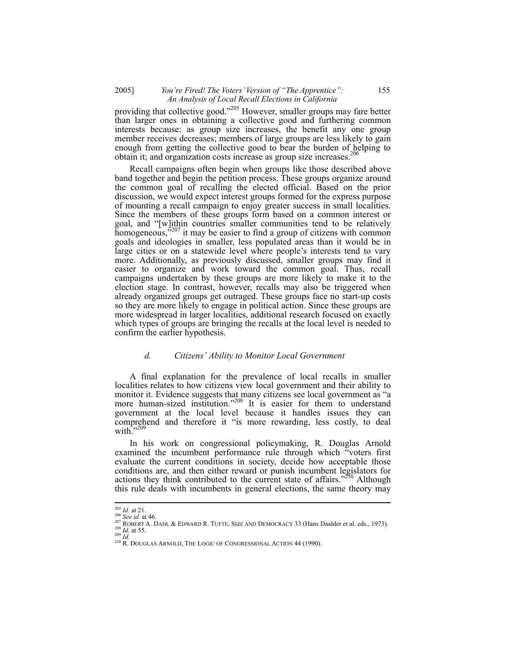## 2005] *You're Fired! The Voters' Version of "The Apprentice":* 155 *An Analysis of Local Recall Elections in California*

providing that collective good."205 However, smaller groups may fare better than larger ones in obtaining a collective good and furthering common interests because: as group size increases, the benefit any one group member receives decreases; members of large groups are less likely to gain enough from getting the collective good to bear the burden of helping to obtain it; and organization costs increase as group size increases.<sup>206</sup>

Recall campaigns often begin when groups like those described above band together and begin the petition process. These groups organize around the common goal of recalling the elected official. Based on the prior discussion, we would expect interest groups formed for the express purpose of mounting a recall campaign to enjoy greater success in small localities. Since the members of these groups form based on a common interest or goal, and "[w]ithin countries smaller communities tend to be relatively homogeneous,<sup>5207</sup> it may be easier to find a group of citizens with common goals and ideologies in smaller, less populated areas than it would be in large cities or on a statewide level where people's interests tend to vary more. Additionally, as previously discussed, smaller groups may find it easier to organize and work toward the common goal. Thus, recall campaigns undertaken by these groups are more likely to make it to the election stage. In contrast, however, recalls may also be triggered when already organized groups get outraged. These groups face no start-up costs so they are more likely to engage in political action. Since these groups are more widespread in larger localities, additional research focused on exactly which types of groups are bringing the recalls at the local level is needed to confirm the earlier hypothesis.

## *d. Citizens' Ability to Monitor Local Government*

A final explanation for the prevalence of local recalls in smaller localities relates to how citizens view local government and their ability to monitor it. Evidence suggests that many citizens see local government as "a more human-sized institution."<sup>208</sup> It is easier for them to understand government at the local level because it handles issues they can comprehend and therefore it "is more rewarding, less costly, to deal with. $\cdot$ <sup>209</sup>

In his work on congressional policymaking, R. Douglas Arnold examined the incumbent performance rule through which "voters first evaluate the current conditions in society, decide how acceptable those conditions are, and then either reward or punish incumbent legislators for actions they think contributed to the current state of affairs."<sup>210</sup> Although this rule deals with incumbents in general elections, the same theory may

 $^{205}$  *Id.* at 21.

<sup>&</sup>lt;sup>206</sup> See id. at 46.<br><sup>207</sup> ROBERT A. DAHL & EDWARD R. TUFTE, SIZE AND DEMOCRACY 33 (Hans Daalder et al. eds., 1973).<br><sup>208</sup> Id. at 55.<br><sup>209</sup> Id. at 55.<br><sup>210</sup> R. DOUGLAS ARNOLD, THE LOGIC OF CONGRESSIONAL ACTION 44 (1990).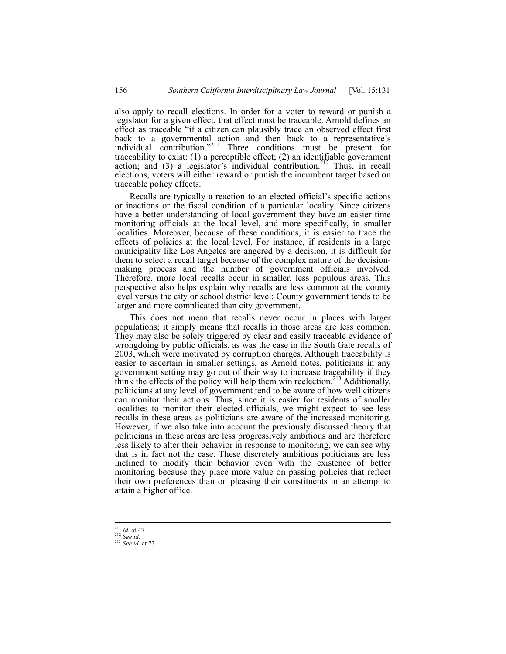also apply to recall elections. In order for a voter to reward or punish a legislator for a given effect, that effect must be traceable. Arnold defines an effect as traceable "if a citizen can plausibly trace an observed effect first back to a governmental action and then back to a representative's individual contribution."<sup>211</sup> Three conditions must be present for traceability to exist: (1) a perceptible effect; (2) an identifiable government action; and (3) a legislator's individual contribution.<sup>212</sup> Thus, in recall elections, voters will either reward or punish the incumbent target based on traceable policy effects.

Recalls are typically a reaction to an elected official's specific actions or inactions or the fiscal condition of a particular locality. Since citizens have a better understanding of local government they have an easier time monitoring officials at the local level, and more specifically, in smaller localities. Moreover, because of these conditions, it is easier to trace the effects of policies at the local level. For instance, if residents in a large municipality like Los Angeles are angered by a decision, it is difficult for them to select a recall target because of the complex nature of the decisionmaking process and the number of government officials involved. Therefore, more local recalls occur in smaller, less populous areas. This perspective also helps explain why recalls are less common at the county level versus the city or school district level: County government tends to be larger and more complicated than city government.

This does not mean that recalls never occur in places with larger populations; it simply means that recalls in those areas are less common. They may also be solely triggered by clear and easily traceable evidence of wrongdoing by public officials, as was the case in the South Gate recalls of 2003, which were motivated by corruption charges. Although traceability is easier to ascertain in smaller settings, as Arnold notes, politicians in any government setting may go out of their way to increase traceability if they think the effects of the policy will help them win reelection.<sup>213</sup> Additionally, politicians at any level of government tend to be aware of how well citizens can monitor their actions. Thus, since it is easier for residents of smaller localities to monitor their elected officials, we might expect to see less recalls in these areas as politicians are aware of the increased monitoring. However, if we also take into account the previously discussed theory that politicians in these areas are less progressively ambitious and are therefore less likely to alter their behavior in response to monitoring, we can see why that is in fact not the case. These discretely ambitious politicians are less inclined to modify their behavior even with the existence of better monitoring because they place more value on passing policies that reflect their own preferences than on pleasing their constituents in an attempt to attain a higher office.

 $\overline{a}$ 

<sup>211</sup> *Id.* at 47 212 *See id.* <sup>213</sup> *See id.* at 73.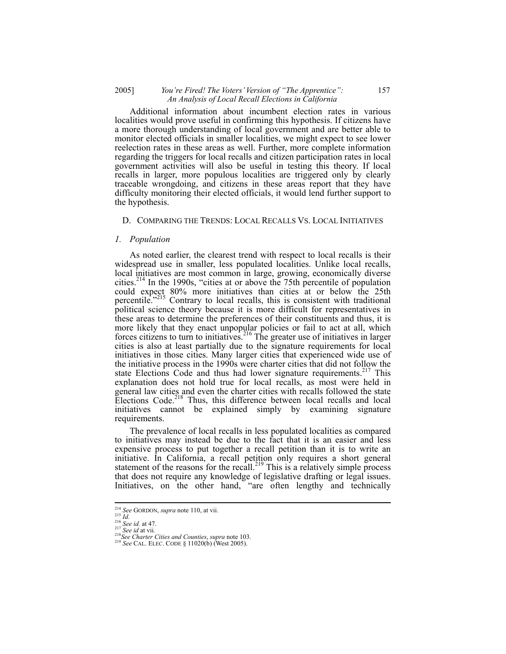## 2005] *You're Fired! The Voters' Version of "The Apprentice":* 157 *An Analysis of Local Recall Elections in California*

Additional information about incumbent election rates in various localities would prove useful in confirming this hypothesis. If citizens have a more thorough understanding of local government and are better able to monitor elected officials in smaller localities, we might expect to see lower reelection rates in these areas as well. Further, more complete information regarding the triggers for local recalls and citizen participation rates in local government activities will also be useful in testing this theory. If local recalls in larger, more populous localities are triggered only by clearly traceable wrongdoing, and citizens in these areas report that they have difficulty monitoring their elected officials, it would lend further support to the hypothesis.

#### D. COMPARING THE TRENDS: LOCAL RECALLS VS. LOCAL INITIATIVES

#### *1. Population*

As noted earlier, the clearest trend with respect to local recalls is their widespread use in smaller, less populated localities. Unlike local recalls, local initiatives are most common in large, growing, economically diverse cities.214 In the 1990s, "cities at or above the 75th percentile of population could expect 80% more initiatives than cities at or below the 25th percentile.<sup>"215</sup> Contrary to local recalls, this is consistent with traditional political science theory because it is more difficult for representatives in these areas to determine the preferences of their constituents and thus, it is more likely that they enact unpopular policies or fail to act at all, which forces citizens to turn to initiatives.<sup>216</sup> The greater use of initiatives in larger cities is also at least partially due to the signature requirements for local initiatives in those cities. Many larger cities that experienced wide use of the initiative process in the 1990s were charter cities that did not follow the state Elections Code and thus had lower signature requirements.<sup>217</sup> This explanation does not hold true for local recalls, as most were held in general law cities and even the charter cities with recalls followed the state Elections Code.<sup>218</sup> Thus, this difference between local recalls and local initiatives cannot be explained simply by examining signature requirements.

The prevalence of local recalls in less populated localities as compared to initiatives may instead be due to the fact that it is an easier and less expensive process to put together a recall petition than it is to write an initiative. In California, a recall petition only requires a short general statement of the reasons for the recall.<sup>219</sup> This is a relatively simple process that does not require any knowledge of legislative drafting or legal issues. Initiatives, on the other hand, "are often lengthy and technically

<sup>&</sup>lt;sup>214</sup> See GORDON, supra note 110, at vii.

<sup>215</sup> *Id.*<br>215 *Id.*<br>216 *See id.* at 47.<br><sup>216</sup> *See id.* at 47.<br><sup>218</sup> *See id at vii.*<br><sup>218</sup> *See Charter Cities and Counties, supra* note 103.<br><sup>219</sup> *See CAL.* ELEC. CODE § 11020(b) (West 2005).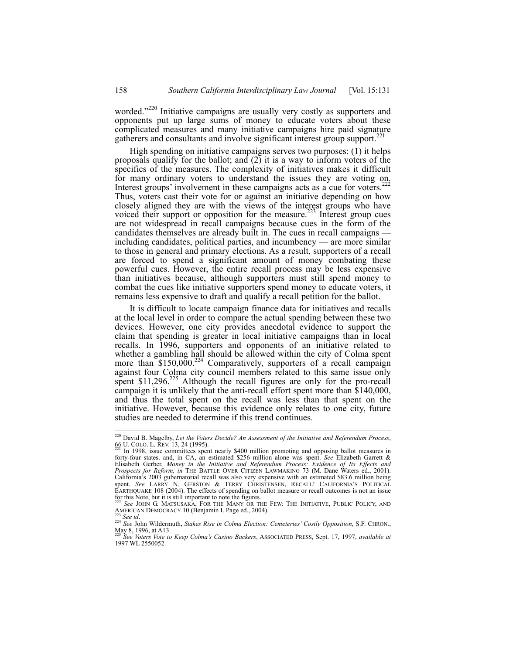worded."<sup>220</sup> Initiative campaigns are usually very costly as supporters and opponents put up large sums of money to educate voters about these complicated measures and many initiative campaigns hire paid signature gatherers and consultants and involve significant interest group support.<sup>2</sup>

High spending on initiative campaigns serves two purposes: (1) it helps proposals qualify for the ballot; and  $(2)$  it is a way to inform voters of the specifics of the measures. The complexity of initiatives makes it difficult for many ordinary voters to understand the issues they are voting on. Interest groups' involvement in these campaigns acts as a cue for voters.<sup>222</sup> Thus, voters cast their vote for or against an initiative depending on how closely aligned they are with the views of the interest groups who have voiced their support or opposition for the measure.<sup>223</sup> Interest group cues are not widespread in recall campaigns because cues in the form of the candidates themselves are already built in. The cues in recall campaigns including candidates, political parties, and incumbency — are more similar to those in general and primary elections. As a result, supporters of a recall are forced to spend a significant amount of money combating these powerful cues. However, the entire recall process may be less expensive than initiatives because, although supporters must still spend money to combat the cues like initiative supporters spend money to educate voters, it remains less expensive to draft and qualify a recall petition for the ballot.

It is difficult to locate campaign finance data for initiatives and recalls at the local level in order to compare the actual spending between these two devices. However, one city provides anecdotal evidence to support the claim that spending is greater in local initiative campaigns than in local recalls. In 1996, supporters and opponents of an initiative related to whether a gambling hall should be allowed within the city of Colma spent more than  $$150,000<sup>224</sup>$  Comparatively, supporters of a recall campaign against four Colma city council members related to this same issue only spent  $$11,296<sup>225</sup>$  Although the recall figures are only for the pro-recall campaign it is unlikely that the anti-recall effort spent more than \$140,000, and thus the total spent on the recall was less than that spent on the initiative. However, because this evidence only relates to one city, future studies are needed to determine if this trend continues.

<sup>220</sup> David B. Magelby, *Let the Voters Decide? An Assessment of the Initiative and Referendum Process*,

<sup>66</sup> U. COLO. L. ŘEV. 13, 24 (1995).<br><sup>221</sup> In 1998, issue committees spent nearly \$400 million promoting and opposing ballot measures in forty-four states. and, in CA, an estimated \$256 million alone was spent. *See* Elizabe Elisabeth Gerber, *Money in the Initiative and Referendum Process: Evidence of Its Effects and Prospects for Reform, in* THE BATTLE OVER CITIZEN LAWMAKING 73 (M. Dane Waters ed., 2001). California's 2003 gubernatorial recall was also very expensive with an estimated \$83.6 million being spent. *See* LARRY N. GERSTON & TERRY CHRISTENSEN, RECALL! CALIFORNIA'S POLITICAL EARTHQUAKE 108 (2004). The effects of spending on ballot measure or recall outcomes is not an issue for this Note, but it is still important to note the figures. <sup>222</sup> *See* JOHN G. MATSUSAKA, FOR THE MANY OR THE FEW: THE INITIATIVE, PUBLIC POLICY, AND

AMERICAN DEMOCRACY 10 (Benjamin I. Page ed., 2004). 223 *See id.* <sup>224</sup> *See* John Wildermuth, *Stakes Rise in Colma Election: Cemeteries' Costly Opposition*, S.F. CHRON.,

May 8, 1996, at A13.

<sup>225</sup> *See Voters Vote to Keep Colma's Casino Backers*, ASSOCIATED PRESS, Sept. 17, 1997, *available at* 1997 WL 2550052.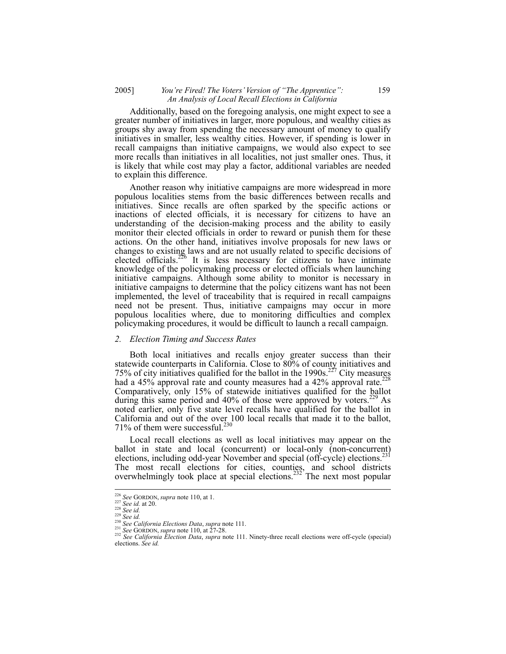## 2005] *You're Fired! The Voters' Version of "The Apprentice":* 159 *An Analysis of Local Recall Elections in California*

Additionally, based on the foregoing analysis, one might expect to see a greater number of initiatives in larger, more populous, and wealthy cities as groups shy away from spending the necessary amount of money to qualify initiatives in smaller, less wealthy cities. However, if spending is lower in recall campaigns than initiative campaigns, we would also expect to see more recalls than initiatives in all localities, not just smaller ones. Thus, it is likely that while cost may play a factor, additional variables are needed to explain this difference.

Another reason why initiative campaigns are more widespread in more populous localities stems from the basic differences between recalls and initiatives. Since recalls are often sparked by the specific actions or inactions of elected officials, it is necessary for citizens to have an understanding of the decision-making process and the ability to easily monitor their elected officials in order to reward or punish them for these actions. On the other hand, initiatives involve proposals for new laws or changes to existing laws and are not usually related to specific decisions of elected officials.<sup>226</sup> It is less necessary for citizens to have intimate knowledge of the policymaking process or elected officials when launching initiative campaigns. Although some ability to monitor is necessary in initiative campaigns to determine that the policy citizens want has not been implemented, the level of traceability that is required in recall campaigns need not be present. Thus, initiative campaigns may occur in more populous localities where, due to monitoring difficulties and complex policymaking procedures, it would be difficult to launch a recall campaign.

#### *2. Election Timing and Success Rates*

Both local initiatives and recalls enjoy greater success than their statewide counterparts in California. Close to 80% of county initiatives and 75% of city initiatives qualified for the ballot in the 1990s.<sup>227</sup> City measures had a 45% approval rate and county measures had a 42% approval rate.<sup>228</sup> Comparatively, only 15% of statewide initiatives qualified for the ballot during this same period and  $40\%$  of those were approved by voters.<sup>229</sup> As noted earlier, only five state level recalls have qualified for the ballot in California and out of the over 100 local recalls that made it to the ballot, 71% of them were successful. $230$ 

Local recall elections as well as local initiatives may appear on the ballot in state and local (concurrent) or local-only (non-concurrent) elections, including odd-year November and special (off-cycle) elections.<sup>2</sup> The most recall elections for cities, counties, and school districts overwhelmingly took place at special elections.<sup>232</sup> The next most popular

<sup>&</sup>lt;sup>226</sup> See GORDON, supra note 110, at 1.

<sup>&</sup>lt;sup>227</sup> See GORDON, supra note 110, at 1.<br>
<sup>227</sup> See id. at 20.<br>
<sup>228</sup> See id.<br>
<sup>228</sup> See id.<br>
<sup>230</sup> See California Elections Data, supra note 111.<br>
<sup>231</sup> See GORDON, supra note 110, at 27-28.<br>
<sup>232</sup> See California Election elections. *See id.*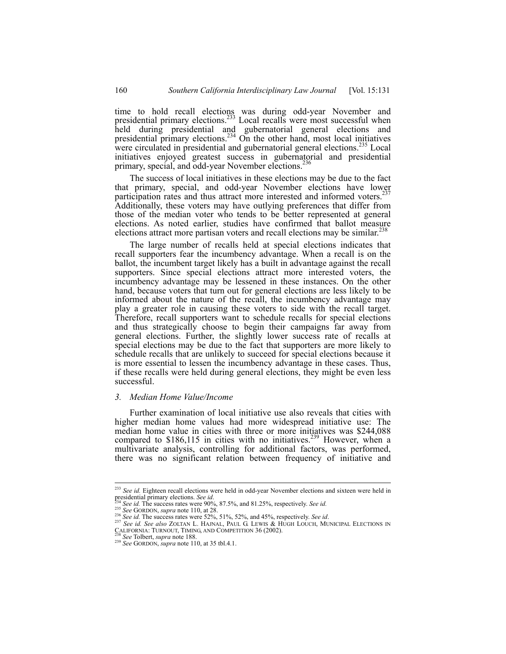time to hold recall elections was during odd-year November and presidential primary elections.<sup>233</sup> Local recalls were most successful when held during presidential and gubernatorial general elections and presidential primary elections.<sup>234</sup> On the other hand, most local initiatives were circulated in presidential and gubernatorial general elections.<sup>235</sup> Local initiatives enjoyed greatest success in gubernatorial and presidential primary, special, and odd-year November elections.<sup>2</sup>

The success of local initiatives in these elections may be due to the fact that primary, special, and odd-year November elections have lower participation rates and thus attract more interested and informed voters.<sup>237</sup> Additionally, these voters may have outlying preferences that differ from those of the median voter who tends to be better represented at general elections. As noted earlier, studies have confirmed that ballot measure elections attract more partisan voters and recall elections may be similar.<sup>238</sup>

The large number of recalls held at special elections indicates that recall supporters fear the incumbency advantage. When a recall is on the ballot, the incumbent target likely has a built in advantage against the recall supporters. Since special elections attract more interested voters, the incumbency advantage may be lessened in these instances. On the other hand, because voters that turn out for general elections are less likely to be informed about the nature of the recall, the incumbency advantage may play a greater role in causing these voters to side with the recall target. Therefore, recall supporters want to schedule recalls for special elections and thus strategically choose to begin their campaigns far away from general elections. Further, the slightly lower success rate of recalls at special elections may be due to the fact that supporters are more likely to schedule recalls that are unlikely to succeed for special elections because it is more essential to lessen the incumbency advantage in these cases. Thus, if these recalls were held during general elections, they might be even less successful.

## *3. Median Home Value/Income*

Further examination of local initiative use also reveals that cities with higher median home values had more widespread initiative use: The median home value in cities with three or more initiatives was \$244,088 compared to \$186,115 in cities with no initiatives.<sup>239</sup> However, when a multivariate analysis, controlling for additional factors, was performed, there was no significant relation between frequency of initiative and

<sup>233</sup> *See id.* Eighteen recall elections were held in odd-year November elections and sixteen were held in presidential primary elections. See id.<br>
<sup>234</sup> See id. The success rates were 90%, 87.5%, and 81.25%, respectively. See id.<br>
<sup>235</sup> See GORDON, *supra* note 110, at 28.<br>
<sup>236</sup> See id. The success rates were 52%, 51%, 52%, a

CALIFORNIA: TURNOUT, TIMING, AND COMPETITION 36 (2002).<br><sup>238</sup> *See* Tolbert, *supra* note 188.<br><sup>239</sup> *See* GORDON, *supra* note 110, at 35 tbl.4.1.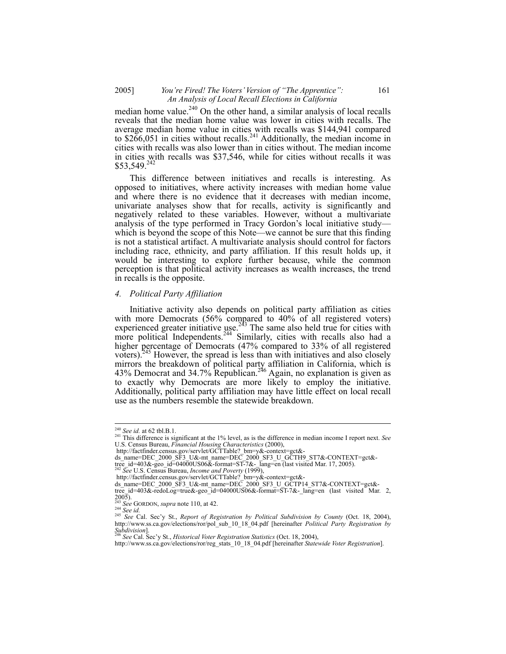## 2005] *You're Fired! The Voters' Version of "The Apprentice":* 161 *An Analysis of Local Recall Elections in California*

median home value. $240$  On the other hand, a similar analysis of local recalls reveals that the median home value was lower in cities with recalls. The average median home value in cities with recalls was \$144,941 compared to  $$266,051$  in cities without recalls.<sup>241</sup> Additionally, the median income in cities with recalls was also lower than in cities without. The median income in cities with recalls was \$37,546, while for cities without recalls it was \$53,549.242

This difference between initiatives and recalls is interesting. As opposed to initiatives, where activity increases with median home value and where there is no evidence that it decreases with median income, univariate analyses show that for recalls, activity is significantly and negatively related to these variables. However, without a multivariate analysis of the type performed in Tracy Gordon's local initiative study which is beyond the scope of this Note—we cannot be sure that this finding is not a statistical artifact. A multivariate analysis should control for factors including race, ethnicity, and party affiliation. If this result holds up, it would be interesting to explore further because, while the common perception is that political activity increases as wealth increases, the trend in recalls is the opposite.

#### *4. Political Party Affiliation*

Initiative activity also depends on political party affiliation as cities with more Democrats (56% compared to 40% of all registered voters) experienced greater initiative use.<sup>243</sup> The same also held true for cities with more political Independents.<sup>244</sup> Similarly, cities with recalls also had a higher percentage of Democrats (47% compared to 33% of all registered voters).245 However, the spread is less than with initiatives and also closely mirrors the breakdown of political party affiliation in California, which is 43% Democrat and 34.7% Republican.<sup>246</sup> Again, no explanation is given as to exactly why Democrats are more likely to employ the initiative. Additionally, political party affiliation may have little effect on local recall use as the numbers resemble the statewide breakdown.

 $240$  See id. at 62 tbl.B.1.

<sup>&</sup>lt;sup>241</sup> This difference is significant at the 1% level, as is the difference in median income I report next. *See* U.S. Census Bureau, *Financial Housing Characteristics* (2000),

http://factfinder.census.gov/servlet/GCTTable? bm=y&-context=gct&-<br>ds\_name=DEC\_2000\_SF3\_U&-mt\_name=DEC\_2000\_SF3\_U\_GCTH9\_ST7&-CONTEXT=gct&-

tree\_id=403&-geo\_id=04000US06&-format=ST-7&-\_lang=en (last visited Mar. 17, 2005). 242 *See* U.S. Census Bureau, *Income and Poverty* (1999),

http://factfinder.census.gov/servlet/GCTTable?\_bm=y&-context=gct&-

ds\_name=DEC\_2000\_SF3\_U&-mt\_name=DEC\_2000\_SF3\_U\_GCTP14\_ST7&-CONTEXT=gct&-<br>tree\_id=403&-redoLog=true&-geo\_id=04000US06&-format=ST-7&-\_lang=en\_(last\_visited\_Mar.\_2,

<sup>2005).&</sup>lt;br>
<sup>243</sup> See GORDON, *supra* note 110, at 42.<br>
<sup>244</sup> See id.

<sup>&</sup>lt;sup>245</sup> *See Cal. Sec'y St., Report of Registration by Political Subdivision by County (Oct. 18, 2004),* http://www.ss.ca.gov/elections/ror/pol\_sub\_10\_18\_04.pdf [hereinafter *Political Party Registration by Subdivision*]. 246 *See* Cal. Sec'y St., *Historical Voter Registration Statistics* (Oct. 18, 2004),

http://www.ss.ca.gov/elections/ror/reg\_stats\_10\_18\_04.pdf [hereinafter *Statewide Voter Registration*].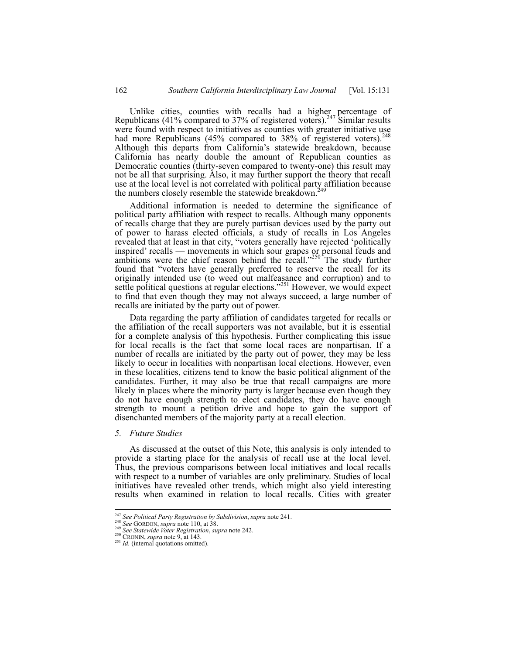Unlike cities, counties with recalls had a higher percentage of Republicans (41% compared to 37% of registered voters).<sup>247</sup> Similar results were found with respect to initiatives as counties with greater initiative use had more Republicans (45% compared to 38% of registered voters).<sup>2</sup> Although this departs from California's statewide breakdown, because California has nearly double the amount of Republican counties as Democratic counties (thirty-seven compared to twenty-one) this result may not be all that surprising. Also, it may further support the theory that recall use at the local level is not correlated with political party affiliation because the numbers closely resemble the statewide breakdown.<sup>2</sup>

Additional information is needed to determine the significance of political party affiliation with respect to recalls. Although many opponents of recalls charge that they are purely partisan devices used by the party out of power to harass elected officials, a study of recalls in Los Angeles revealed that at least in that city, "voters generally have rejected 'politically inspired' recalls — movements in which sour grapes or personal feuds and ambitions were the chief reason behind the recall."<sup>250</sup> The study further found that "voters have generally preferred to reserve the recall for its originally intended use (to weed out malfeasance and corruption) and to settle political questions at regular elections."<sup>251</sup> However, we would expect to find that even though they may not always succeed, a large number of recalls are initiated by the party out of power.

Data regarding the party affiliation of candidates targeted for recalls or the affiliation of the recall supporters was not available, but it is essential for a complete analysis of this hypothesis. Further complicating this issue for local recalls is the fact that some local races are nonpartisan. If a number of recalls are initiated by the party out of power, they may be less likely to occur in localities with nonpartisan local elections. However, even in these localities, citizens tend to know the basic political alignment of the candidates. Further, it may also be true that recall campaigns are more likely in places where the minority party is larger because even though they do not have enough strength to elect candidates, they do have enough strength to mount a petition drive and hope to gain the support of disenchanted members of the majority party at a recall election.

## *5. Future Studies*

As discussed at the outset of this Note, this analysis is only intended to provide a starting place for the analysis of recall use at the local level. Thus, the previous comparisons between local initiatives and local recalls with respect to a number of variables are only preliminary. Studies of local initiatives have revealed other trends, which might also yield interesting results when examined in relation to local recalls. Cities with greater

<sup>&</sup>lt;sup>247</sup> See Political Party Registration by Subdivision, supra note 241.<br><sup>248</sup> See GORDON, supra note 110, at 38.<br><sup>249</sup> See Statewide Voter Registration, supra note 242.<br><sup>250</sup> CRONIN, supra note 9, at 143.<br><sup>251</sup> Id. (intern